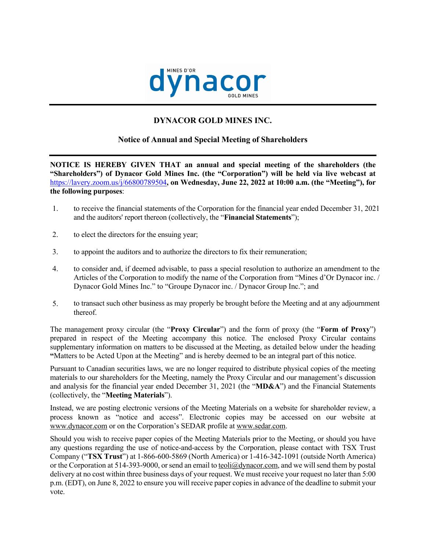

# **DYNACOR GOLD MINES INC.**

# **Notice of Annual and Special Meeting of Shareholders**

**NOTICE IS HEREBY GIVEN THAT an annual and special meeting of the shareholders (the "Shareholders") of Dynacor Gold Mines Inc. (the "Corporation") will be held via live webcast at**  <https://lavery.zoom.us/j/66800789504>**, on Wednesday, June 22, 2022 at 10:00 a.m. (the "Meeting"), for the following purposes**:

- 1. to receive the financial statements of the Corporation for the financial year ended December 31, 2021 and the auditors' report thereon (collectively, the "**Financial Statements**");
- 2. to elect the directors for the ensuing year;
- 3. to appoint the auditors and to authorize the directors to fix their remuneration;
- 4. to consider and, if deemed advisable, to pass a special resolution to authorize an amendment to the Articles of the Corporation to modify the name of the Corporation from "Mines d'Or Dynacor inc. / Dynacor Gold Mines Inc." to "Groupe Dynacor inc. / Dynacor Group Inc."; and
- 5. to transact such other business as may properly be brought before the Meeting and at any adjournment thereof.

The management proxy circular (the "**Proxy Circular**") and the form of proxy (the "**Form of Proxy**") prepared in respect of the Meeting accompany this notice. The enclosed Proxy Circular contains supplementary information on matters to be discussed at the Meeting, as detailed below under the heading **"**Matters to be Acted Upon at the Meeting" and is hereby deemed to be an integral part of this notice.

Pursuant to Canadian securities laws, we are no longer required to distribute physical copies of the meeting materials to our shareholders for the Meeting, namely the Proxy Circular and our management's discussion and analysis for the financial year ended December 31, 2021 (the "**MD&A**") and the Financial Statements (collectively, the "**Meeting Materials**").

Instead, we are posting electronic versions of the Meeting Materials on a website for shareholder review, a process known as "notice and access". Electronic copies may be accessed on our website at www.dynacor.com or on the Corporation's SEDAR profile at [www.sedar.com](http://www.sedar.com/).

Should you wish to receive paper copies of the Meeting Materials prior to the Meeting, or should you have any questions regarding the use of notice-and-access by the Corporation, please contact with TSX Trust Company ("**TSX Trust**") at 1-866-600-5869 (North America) or 1-416-342-1091 (outside North America) or the Corporation at 514-393-9000, or send an email to [teoli@dynacor.com](mailto:teoli@dynacor.com), and we will send them by postal delivery at no cost within three business days of your request. We must receive your request no later than 5:00 p.m. (EDT), on June 8, 2022 to ensure you will receive paper copies in advance of the deadline to submit your vote.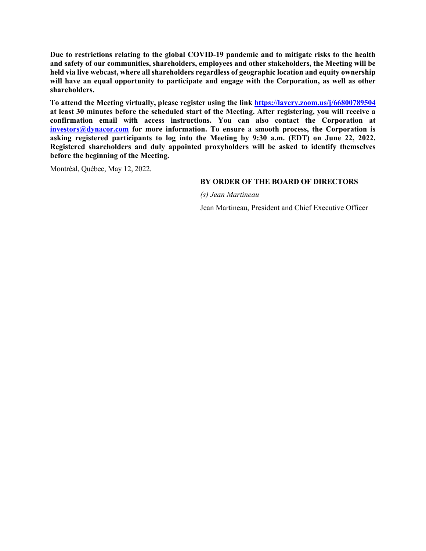**Due to restrictions relating to the global COVID-19 pandemic and to mitigate risks to the health and safety of our communities, shareholders, employees and other stakeholders, the Meeting will be held via live webcast, where all shareholders regardless of geographic location and equity ownership**  will have an equal opportunity to participate and engage with the Corporation, as well as other **shareholders.**

**To attend the Meeting virtually, please register using the link <https://lavery.zoom.us/j/66800789504> at least 30 minutes before the scheduled start of the Meeting. After registering, you will receive a confirmation email with access instructions. You can also contact the Corporation at [investors@dynacor.com](mailto:investor@dynacor.com) for more information. To ensure a smooth process, the Corporation is asking registered participants to log into the Meeting by 9:30 a.m. (EDT) on June 22, 2022. Registered shareholders and duly appointed proxyholders will be asked to identify themselves before the beginning of the Meeting.**

Montréal, Québec, May 12, 2022.

# **BY ORDER OF THE BOARD OF DIRECTORS**

*(s) Jean Martineau*

Jean Martineau, President and Chief Executive Officer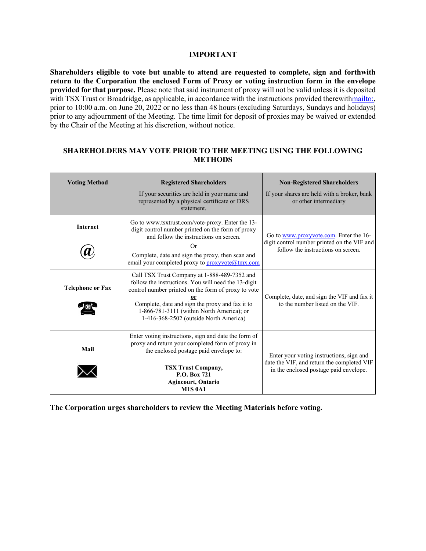### **IMPORTANT**

**Shareholders eligible to vote but unable to attend are requested to complete, sign and forthwith return to the Corporation the enclosed Form of Proxy or voting instruction form in the envelope provided for that purpose.** Please note that said instrument of proxy will not be valid unless it is deposited with TSX Trust or Broadridge, as applicable, in accordance with the instructions provided therewit[hmailto:](mailto:), prior to 10:00 a.m. on June 20, 2022 or no less than 48 hours (excluding Saturdays, Sundays and holidays) prior to any adjournment of the Meeting. The time limit for deposit of proxies may be waived or extended by the Chair of the Meeting at his discretion, without notice.

# **SHAREHOLDERS MAY VOTE PRIOR TO THE MEETING USING THE FOLLOWING METHODS**

| <b>Voting Method</b>    | <b>Registered Shareholders</b><br>If your securities are held in your name and<br>represented by a physical certificate or DRS<br>statement.                                                                                                                                                         | <b>Non-Registered Shareholders</b><br>If your shares are held with a broker, bank<br>or other intermediary                       |
|-------------------------|------------------------------------------------------------------------------------------------------------------------------------------------------------------------------------------------------------------------------------------------------------------------------------------------------|----------------------------------------------------------------------------------------------------------------------------------|
| <b>Internet</b>         | Go to www.tsxtrust.com/vote-proxy. Enter the 13-<br>digit control number printed on the form of proxy<br>and follow the instructions on screen.<br>Or<br>Complete, date and sign the proxy, then scan and<br>email your completed proxy to proxyvote@tmx.com                                         | Go to www.proxyvote.com. Enter the 16-<br>digit control number printed on the VIF and<br>follow the instructions on screen.      |
| <b>Telephone or Fax</b> | Call TSX Trust Company at 1-888-489-7352 and<br>follow the instructions. You will need the 13-digit<br>control number printed on the form of proxy to vote<br>Complete, date and sign the proxy and fax it to<br>1-866-781-3111 (within North America); or<br>1-416-368-2502 (outside North America) | Complete, date, and sign the VIF and fax it<br>to the number listed on the VIF.                                                  |
| Mail                    | Enter voting instructions, sign and date the form of<br>proxy and return your completed form of proxy in<br>the enclosed postage paid envelope to:<br><b>TSX Trust Company,</b><br>P.O. Box 721<br><b>Agincourt, Ontario</b><br><b>M1S 0A1</b>                                                       | Enter your voting instructions, sign and<br>date the VIF, and return the completed VIF<br>in the enclosed postage paid envelope. |

**The Corporation urges shareholders to review the Meeting Materials before voting.**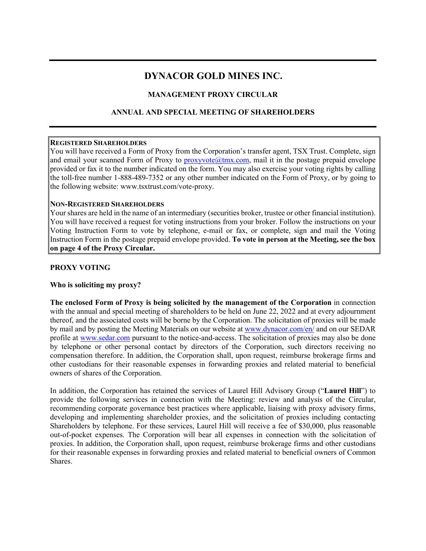# **DYNACOR GOLD MINES INC.**

# **MANAGEMENT PROXY CIRCULAR**

# **ANNUAL AND SPECIAL MEETING OF SHAREHOLDERS**

### **REGISTERED SHAREHOLDERS**

You will have received a Form of Proxy from the Corporation's transfer agent, TSX Trust. Complete, sign and email your scanned Form of Proxy to  $prox$ yvote $@$ tmx.com, mail it in the postage prepaid envelope provided or fax it to the number indicated on the form. You may also exercise your voting rights by calling the toll-free number 1-888-489-7352 or any other number indicated on the Form of Proxy, or by going to the following website: www.tsxtrust.com/vote-proxy.

### **NON-REGISTERED SHAREHOLDERS**

Your shares are held in the name of an intermediary (securities broker, trustee or other financial institution). You will have received a request for voting instructions from your broker. Follow the instructions on your Voting Instruction Form to vote by telephone, e-mail or fax, or complete, sign and mail the Voting Instruction Form in the postage prepaid envelope provided. **To vote in person at the Meeting, see the box on page 4 of the Proxy Circular.**

# **PROXY VOTING**

# **Who is soliciting my proxy?**

**The enclosed Form of Proxy is being solicited by the management of the Corporation** in connection with the annual and special meeting of shareholders to be held on June 22, 2022 and at every adjournment thereof, and the associated costs will be borne by the Corporation. The solicitation of proxies will be made by mail and by posting the Meeting Materials on our website at [www.dynacor.com/en/](http://www.dynacor.com/en/) and on our SEDAR profile at [www.sedar.com](http://www.sedar.com/) pursuant to the notice-and-access. The solicitation of proxies may also be done by telephone or other personal contact by directors of the Corporation, such directors receiving no compensation therefore. In addition, the Corporation shall, upon request, reimburse brokerage firms and other custodians for their reasonable expenses in forwarding proxies and related material to beneficial owners of shares of the Corporation.

In addition, the Corporation has retained the services of Laurel Hill Advisory Group ("**Laurel Hill**") to provide the following services in connection with the Meeting: review and analysis of the Circular, recommending corporate governance best practices where applicable, liaising with proxy advisory firms, developing and implementing shareholder proxies, and the solicitation of proxies including contacting Shareholders by telephone. For these services, Laurel Hill will receive a fee of \$30,000, plus reasonable out-of-pocket expenses. The Corporation will bear all expenses in connection with the solicitation of proxies. In addition, the Corporation shall, upon request, reimburse brokerage firms and other custodians for their reasonable expenses in forwarding proxies and related material to beneficial owners of Common Shares.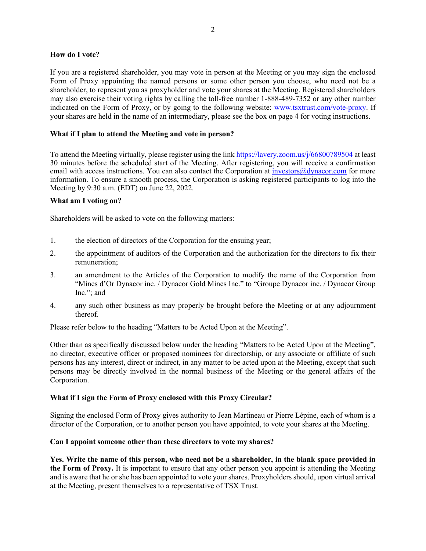### **How do I vote?**

If you are a registered shareholder, you may vote in person at the Meeting or you may sign the enclosed Form of Proxy appointing the named persons or some other person you choose, who need not be a shareholder, to represent you as proxyholder and vote your shares at the Meeting. Registered shareholders may also exercise their voting rights by calling the toll-free number 1-888-489-7352 or any other number indicated on the Form of Proxy, or by going to the following website: [www.tsxtrust.com/vote-proxy](http://www.astvotemyproxy.com/). If your shares are held in the name of an intermediary, please see the box on page 4 for voting instructions.

# **What if I plan to attend the Meeting and vote in person?**

To attend the Meeting virtually, please register using the link <https://lavery.zoom.us/j/66800789504> at least 30 minutes before the scheduled start of the Meeting. After registering, you will receive a confirmation email with access instructions. You can also contact the Corporation at *[investors@dynacor.com](mailto:investors@dynacor.com)* for more information. To ensure a smooth process, the Corporation is asking registered participants to log into the Meeting by 9:30 a.m. (EDT) on June 22, 2022.

# **What am I voting on?**

Shareholders will be asked to vote on the following matters:

- 1. the election of directors of the Corporation for the ensuing year;
- 2. the appointment of auditors of the Corporation and the authorization for the directors to fix their remuneration;
- 3. an amendment to the Articles of the Corporation to modify the name of the Corporation from "Mines d'Or Dynacor inc. / Dynacor Gold Mines Inc." to "Groupe Dynacor inc. / Dynacor Group Inc."; and
- 4. any such other business as may properly be brought before the Meeting or at any adjournment thereof.

Please refer below to the heading "Matters to be Acted Upon at the Meeting".

Other than as specifically discussed below under the heading "Matters to be Acted Upon at the Meeting", no director, executive officer or proposed nominees for directorship, or any associate or affiliate of such persons has any interest, direct or indirect, in any matter to be acted upon at the Meeting, except that such persons may be directly involved in the normal business of the Meeting or the general affairs of the Corporation.

# **What if I sign the Form of Proxy enclosed with this Proxy Circular?**

Signing the enclosed Form of Proxy gives authority to Jean Martineau or Pierre Lépine, each of whom is a director of the Corporation, or to another person you have appointed, to vote your shares at the Meeting.

# **Can I appoint someone other than these directors to vote my shares?**

**Yes. Write the name of this person, who need not be a shareholder, in the blank space provided in the Form of Proxy.** It is important to ensure that any other person you appoint is attending the Meeting and is aware that he or she has been appointed to vote your shares. Proxyholders should, upon virtual arrival at the Meeting, present themselves to a representative of TSX Trust.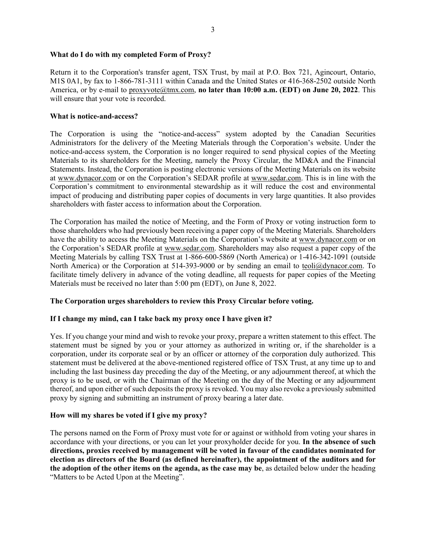### **What do I do with my completed Form of Proxy?**

Return it to the Corporation's transfer agent, TSX Trust, by mail at P.O. Box 721, Agincourt, Ontario, M1S 0A1, by fax to 1-866-781-3111 within Canada and the United States or 416-368-2502 outside North America, or by e-mail to [proxyvote@tmx.com](mailto:proxyvote@astfinancial.com), **no later than 10:00 a.m. (EDT) on June 20, 2022**. This will ensure that your vote is recorded.

#### **What is notice-and-access?**

The Corporation is using the "notice-and-access" system adopted by the Canadian Securities Administrators for the delivery of the Meeting Materials through the Corporation's website. Under the notice-and-access system, the Corporation is no longer required to send physical copies of the Meeting Materials to its shareholders for the Meeting, namely the Proxy Circular, the MD&A and the Financial Statements. Instead, the Corporation is posting electronic versions of the Meeting Materials on its website at [www.dynacor.com](http://www.dynacor.com/en/) or on the Corporation's SEDAR profile at [www.sedar.com.](http://www.sedar.com/) This is in line with the Corporation's commitment to environmental stewardship as it will reduce the cost and environmental impact of producing and distributing paper copies of documents in very large quantities. It also provides shareholders with faster access to information about the Corporation.

The Corporation has mailed the notice of Meeting, and the Form of Proxy or voting instruction form to those shareholders who had previously been receiving a paper copy of the Meeting Materials. Shareholders have the ability to access the Meeting Materials on the Corporation's website at [www.dynacor.com](http://www.dynacor.com/en/) or on the Corporation's SEDAR profile at [www.sedar.com](http://www.sedar.com/). Shareholders may also request a paper copy of the Meeting Materials by calling TSX Trust at 1-866-600-5869 (North America) or 1-416-342-1091 (outside North America) or the Corporation at 514-393-9000 or by sending an email to [teoli@dynacor.com](mailto:teoli@dynacor.com). To facilitate timely delivery in advance of the voting deadline, all requests for paper copies of the Meeting Materials must be received no later than 5:00 pm (EDT), on June 8, 2022.

### **The Corporation urges shareholders to review this Proxy Circular before voting.**

#### **If I change my mind, can I take back my proxy once I have given it?**

Yes. If you change your mind and wish to revoke your proxy, prepare a written statement to this effect. The statement must be signed by you or your attorney as authorized in writing or, if the shareholder is a corporation, under its corporate seal or by an officer or attorney of the corporation duly authorized. This statement must be delivered at the above-mentioned registered office of TSX Trust, at any time up to and including the last business day preceding the day of the Meeting, or any adjournment thereof, at which the proxy is to be used, or with the Chairman of the Meeting on the day of the Meeting or any adjournment thereof, and upon either of such deposits the proxy is revoked. You may also revoke a previously submitted proxy by signing and submitting an instrument of proxy bearing a later date.

### **How will my shares be voted if I give my proxy?**

The persons named on the Form of Proxy must vote for or against or withhold from voting your shares in accordance with your directions, or you can let your proxyholder decide for you. **In the absence of such directions, proxies received by management will be voted in favour of the candidates nominated for election as directors of the Board (as defined hereinafter), the appointment of the auditors and for the adoption of the other items on the agenda, as the case may be**, as detailed below under the heading "Matters to be Acted Upon at the Meeting".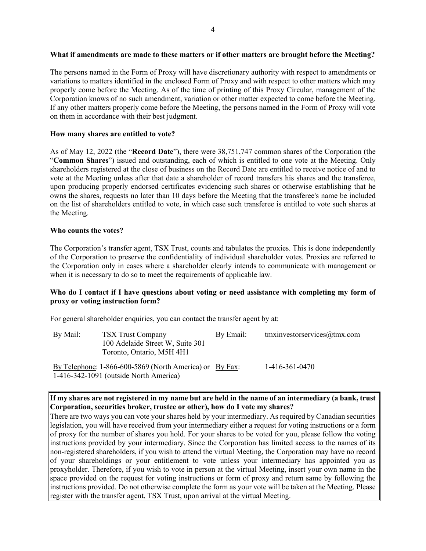### **What if amendments are made to these matters or if other matters are brought before the Meeting?**

The persons named in the Form of Proxy will have discretionary authority with respect to amendments or variations to matters identified in the enclosed Form of Proxy and with respect to other matters which may properly come before the Meeting. As of the time of printing of this Proxy Circular, management of the Corporation knows of no such amendment, variation or other matter expected to come before the Meeting. If any other matters properly come before the Meeting, the persons named in the Form of Proxy will vote on them in accordance with their best judgment.

# **How many shares are entitled to vote?**

As of May 12, 2022 (the "**Record Date**"), there were 38,751,747 common shares of the Corporation (the "**Common Shares**") issued and outstanding, each of which is entitled to one vote at the Meeting. Only shareholders registered at the close of business on the Record Date are entitled to receive notice of and to vote at the Meeting unless after that date a shareholder of record transfers his shares and the transferee, upon producing properly endorsed certificates evidencing such shares or otherwise establishing that he owns the shares, requests no later than 10 days before the Meeting that the transferee's name be included on the list of shareholders entitled to vote, in which case such transferee is entitled to vote such shares at the Meeting.

### **Who counts the votes?**

The Corporation's transfer agent, TSX Trust, counts and tabulates the proxies. This is done independently of the Corporation to preserve the confidentiality of individual shareholder votes. Proxies are referred to the Corporation only in cases where a shareholder clearly intends to communicate with management or when it is necessary to do so to meet the requirements of applicable law.

# **Who do I contact if I have questions about voting or need assistance with completing my form of proxy or voting instruction form?**

For general shareholder enquiries, you can contact the transfer agent by at:

| By Mail: | <b>TSX Trust Company</b><br>100 Adelaide Street W, Suite 301<br>Toronto, Ontario, M5H 4H1           | By Email: | tmxinvestorservices $@$ tmx.com |
|----------|-----------------------------------------------------------------------------------------------------|-----------|---------------------------------|
|          | By Telephone: 1-866-600-5869 (North America) or By Fax:<br>$1-416-342-1091$ (outside North America) |           | 1-416-361-0470                  |

**If my shares are not registered in my name but are held in the name of an intermediary (a bank, trust Corporation, securities broker, trustee or other), how do I vote my shares?**

There are two ways you can vote your shares held by your intermediary. As required by Canadian securities legislation, you will have received from your intermediary either a request for voting instructions or a form of proxy for the number of shares you hold. For your shares to be voted for you, please follow the voting instructions provided by your intermediary. Since the Corporation has limited access to the names of its non-registered shareholders, if you wish to attend the virtual Meeting, the Corporation may have no record of your shareholdings or your entitlement to vote unless your intermediary has appointed you as proxyholder. Therefore, if you wish to vote in person at the virtual Meeting, insert your own name in the space provided on the request for voting instructions or form of proxy and return same by following the instructions provided. Do not otherwise complete the form as your vote will be taken at the Meeting. Please register with the transfer agent, TSX Trust, upon arrival at the virtual Meeting.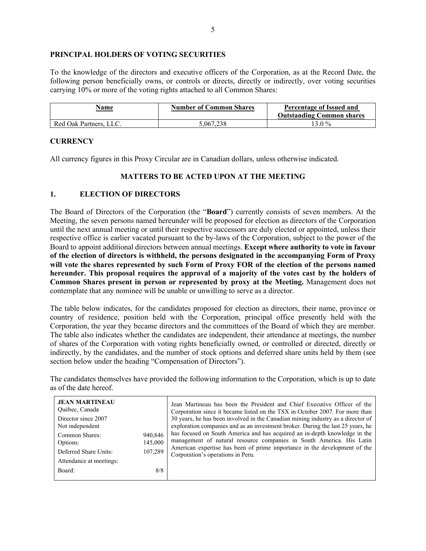### **PRINCIPAL HOLDERS OF VOTING SECURITIES**

To the knowledge of the directors and executive officers of the Corporation, as at the Record Date, the following person beneficially owns, or controls or directs, directly or indirectly, over voting securities carrying 10% or more of the voting rights attached to all Common Shares:

| Name<br><b>Contract Contract Contract Contract</b> | <b>Number of Common Shares</b> | Percentage of Issued and<br><b>Outstanding Common shares</b> |
|----------------------------------------------------|--------------------------------|--------------------------------------------------------------|
| Red Oak Partners, LLC.                             | 5.067.238                      | 3.0%                                                         |

### **CURRENCY**

All currency figures in this Proxy Circular are in Canadian dollars, unless otherwise indicated.

# **MATTERS TO BE ACTED UPON AT THE MEETING**

## **1. ELECTION OF DIRECTORS**

The Board of Directors of the Corporation (the "**Board**") currently consists of seven members. At the Meeting, the seven persons named hereunder will be proposed for election as directors of the Corporation until the next annual meeting or until their respective successors are duly elected or appointed, unless their respective office is earlier vacated pursuant to the by-laws of the Corporation, subject to the power of the Board to appoint additional directors between annual meetings. **Except where authority to vote in favour of the election of directors is withheld, the persons designated in the accompanying Form of Proxy**  will vote the shares represented by such Form of Proxy FOR of the election of the persons named **hereunder. This proposal requires the approval of a majority of the votes cast by the holders of Common Shares present in person or represented by proxy at the Meeting.** Management does not contemplate that any nominee will be unable or unwilling to serve as a director.

The table below indicates, for the candidates proposed for election as directors, their name, province or country of residence, position held with the Corporation, principal office presently held with the Corporation, the year they became directors and the committees of the Board of which they are member. The table also indicates whether the candidates are independent, their attendance at meetings, the number of shares of the Corporation with voting rights beneficially owned, or controlled or directed, directly or indirectly, by the candidates, and the number of stock options and deferred share units held by them (see section below under the heading "Compensation of Directors").

The candidates themselves have provided the following information to the Corporation, which is up to date as of the date hereof.

| <b>JEAN MARTINEAU</b><br>Québec, Canada<br>Director since 2007<br>Not independent<br>Common Shares:<br>Options:<br>Deferred Share Units:<br>Attendance at meetings: | 940,846<br>145,000<br>107,289 | Jean Martineau has been the President and Chief Executive Officer of the<br>Corporation since it became listed on the TSX in October 2007. For more than<br>30 years, he has been involved in the Canadian mining industry as a director of<br>exploration companies and as an investment broker. During the last 25 years, he<br>has focused on South America and has acquired an in-depth knowledge in the<br>management of natural resource companies in South America. His Latin<br>American expertise has been of prime importance in the development of the<br>Corporation's operations in Peru. |
|---------------------------------------------------------------------------------------------------------------------------------------------------------------------|-------------------------------|--------------------------------------------------------------------------------------------------------------------------------------------------------------------------------------------------------------------------------------------------------------------------------------------------------------------------------------------------------------------------------------------------------------------------------------------------------------------------------------------------------------------------------------------------------------------------------------------------------|
| Board:                                                                                                                                                              | 8/8                           |                                                                                                                                                                                                                                                                                                                                                                                                                                                                                                                                                                                                        |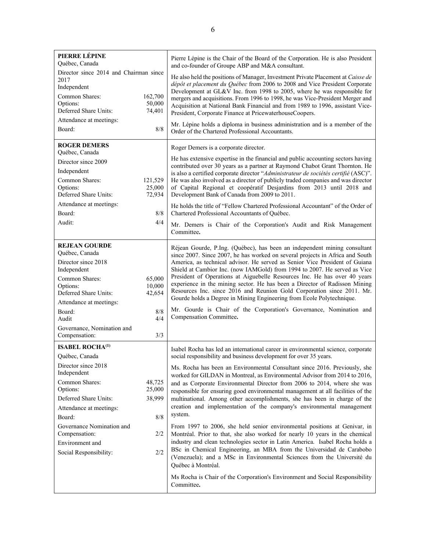| PIERRE LÉPINE<br>Québec, Canada<br>Director since 2014 and Chairman since<br>2017<br>Independent<br>Common Shares:<br>Options:<br>Deferred Share Units:<br>Attendance at meetings:<br>Board:<br><b>ROGER DEMERS</b><br>Québec, Canada<br>Director since 2009<br>Independent<br>Common Shares:<br>Options:<br>Deferred Share Units:<br>Attendance at meetings:<br>Board:<br>Audit: | 162,700<br>50,000<br>74,401<br>8/8<br>121,529<br>25,000<br>72,934<br>8/8<br>4/4 | Pierre Lépine is the Chair of the Board of the Corporation. He is also President<br>and co-founder of Groupe ABP and M&A consultant.<br>He also held the positions of Manager, Investment Private Placement at Caisse de<br>dépôt et placement du Québec from 2006 to 2008 and Vice President Corporate<br>Development at GL&V Inc. from 1998 to 2005, where he was responsible for<br>mergers and acquisitions. From 1996 to 1998, he was Vice-President Merger and<br>Acquisition at National Bank Financial and from 1989 to 1996, assistant Vice-<br>President, Corporate Finance at PricewaterhouseCoopers.<br>Mr. Lépine holds a diploma in business administration and is a member of the<br>Order of the Chartered Professional Accountants.<br>Roger Demers is a corporate director.<br>He has extensive expertise in the financial and public accounting sectors having<br>contributed over 30 years as a partner at Raymond Chabot Grant Thornton. He<br>is also a certified corporate director "Administrateur de sociétés certifié (ASC)".<br>He was also involved as a director of publicly traded companies and was director<br>of Capital Regional et coopératif Desjardins from 2013 until 2018 and<br>Development Bank of Canada from 2009 to 2011.<br>He holds the title of "Fellow Chartered Professional Accountant" of the Order of<br>Chartered Professional Accountants of Québec.<br>Mr. Demers is Chair of the Corporation's Audit and Risk Management |
|-----------------------------------------------------------------------------------------------------------------------------------------------------------------------------------------------------------------------------------------------------------------------------------------------------------------------------------------------------------------------------------|---------------------------------------------------------------------------------|----------------------------------------------------------------------------------------------------------------------------------------------------------------------------------------------------------------------------------------------------------------------------------------------------------------------------------------------------------------------------------------------------------------------------------------------------------------------------------------------------------------------------------------------------------------------------------------------------------------------------------------------------------------------------------------------------------------------------------------------------------------------------------------------------------------------------------------------------------------------------------------------------------------------------------------------------------------------------------------------------------------------------------------------------------------------------------------------------------------------------------------------------------------------------------------------------------------------------------------------------------------------------------------------------------------------------------------------------------------------------------------------------------------------------------------------------------------------------------|
|                                                                                                                                                                                                                                                                                                                                                                                   |                                                                                 | Committee.                                                                                                                                                                                                                                                                                                                                                                                                                                                                                                                                                                                                                                                                                                                                                                                                                                                                                                                                                                                                                                                                                                                                                                                                                                                                                                                                                                                                                                                                       |
| <b>REJEAN GOURDE</b><br>Québec, Canada<br>Director since 2018<br>Independent<br>Common Shares:<br>Options:<br>Deferred Share Units:<br>Attendance at meetings:<br>Board:<br>Audit<br>Governance, Nomination and<br>Compensation:                                                                                                                                                  | 65,000<br>10,000<br>42,654<br>8/8<br>4/4<br>3/3                                 | Réjean Gourde, P.Ing. (Québec), has been an independent mining consultant<br>since 2007. Since 2007, he has worked on several projects in Africa and South<br>America, as technical advisor. He served as Senior Vice President of Guiana<br>Shield at Cambior Inc. (now IAMGold) from 1994 to 2007. He served as Vice<br>President of Operations at Aiguebelle Resources Inc. He has over 40 years<br>experience in the mining sector. He has been a Director of Radisson Mining<br>Resources Inc. since 2016 and Reunion Gold Corporation since 2011. Mr.<br>Gourde holds a Degree in Mining Engineering from Ecole Polytechnique.<br>Mr. Gourde is Chair of the Corporation's Governance, Nomination and<br>Compensation Committee.                                                                                                                                                                                                                                                                                                                                                                                                                                                                                                                                                                                                                                                                                                                                           |
| <b>ISABEL ROCHA(1)</b><br>Québec, Canada<br>Director since 2018<br>Independent<br>Common Shares:<br>Options:<br>Deferred Share Units:<br>Attendance at meetings:<br>Board:<br>Governance Nomination and<br>Compensation:<br>Environment and<br>Social Responsibility:                                                                                                             | 48,725<br>25,000<br>38,999<br>8/8<br>2/2<br>2/2                                 | Isabel Rocha has led an international career in environmental science, corporate<br>social responsibility and business development for over 35 years.<br>Ms. Rocha has been an Environmental Consultant since 2016. Previously, she<br>worked for GILDAN in Montreal, as Environmental Advisor from 2014 to 2016,<br>and as Corporate Environmental Director from 2006 to 2014, where she was<br>responsible for ensuring good environmental management at all facilities of the<br>multinational. Among other accomplishments, she has been in charge of the<br>creation and implementation of the company's environmental management<br>system.<br>From 1997 to 2006, she held senior environmental positions at Genivar, in<br>Montréal. Prior to that, she also worked for nearly 10 years in the chemical<br>industry and clean technologies sector in Latin America. Isabel Rocha holds a<br>BSc in Chemical Engineering, an MBA from the Universidad de Carabobo<br>(Venezuela); and a MSc in Environmental Sciences from the Université du<br>Québec à Montréal.<br>Ms Rocha is Chair of the Corporation's Environment and Social Responsibility<br>Committee.                                                                                                                                                                                                                                                                                                           |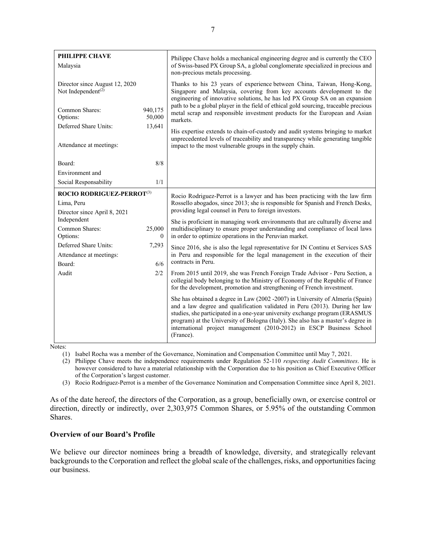| <b>PHILIPPE CHAVE</b><br>Malaysia                                |                            | Philippe Chave holds a mechanical engineering degree and is currently the CEO<br>of Swiss-based PX Group SA, a global conglomerate specialized in precious and<br>non-precious metals processing.                                                                                                                                                                                                                       |
|------------------------------------------------------------------|----------------------------|-------------------------------------------------------------------------------------------------------------------------------------------------------------------------------------------------------------------------------------------------------------------------------------------------------------------------------------------------------------------------------------------------------------------------|
| Director since August 12, 2020<br>Not Independent <sup>(2)</sup> |                            | Thanks to his 23 years of experience between China, Taiwan, Hong-Kong,<br>Singapore and Malaysia, covering from key accounts development to the<br>engineering of innovative solutions, he has led PX Group SA on an expansion                                                                                                                                                                                          |
| Common Shares:<br>Options:                                       | 940,175<br>50,000          | path to be a global player in the field of ethical gold sourcing, traceable precious<br>metal scrap and responsible investment products for the European and Asian<br>markets.                                                                                                                                                                                                                                          |
| Deferred Share Units:                                            | 13,641                     | His expertise extends to chain-of-custody and audit systems bringing to market<br>unprecedented levels of traceability and transparency while generating tangible                                                                                                                                                                                                                                                       |
| Attendance at meetings:                                          |                            | impact to the most vulnerable groups in the supply chain.                                                                                                                                                                                                                                                                                                                                                               |
| Board:                                                           | $8/8$                      |                                                                                                                                                                                                                                                                                                                                                                                                                         |
| Environment and                                                  |                            |                                                                                                                                                                                                                                                                                                                                                                                                                         |
| Social Responsability                                            | 1/1                        |                                                                                                                                                                                                                                                                                                                                                                                                                         |
| ROCIO RODRIGUEZ-PERROT(3)                                        |                            | Rocio Rodriguez-Perrot is a lawyer and has been practicing with the law firm                                                                                                                                                                                                                                                                                                                                            |
| Lima, Peru<br>Director since April 8, 2021                       |                            | Rossello abogados, since 2013; she is responsible for Spanish and French Desks,<br>providing legal counsel in Peru to foreign investors.                                                                                                                                                                                                                                                                                |
| Independent                                                      |                            | She is proficient in managing work environments that are culturally diverse and                                                                                                                                                                                                                                                                                                                                         |
| Common Shares:<br>Options:                                       | 25,000<br>$\boldsymbol{0}$ | multidisciplinary to ensure proper understanding and compliance of local laws<br>in order to optimize operations in the Peruvian market.                                                                                                                                                                                                                                                                                |
| Deferred Share Units:                                            | 7,293                      | Since 2016, she is also the legal representative for IN Continu et Services SAS                                                                                                                                                                                                                                                                                                                                         |
| Attendance at meetings:                                          |                            | in Peru and responsible for the legal management in the execution of their                                                                                                                                                                                                                                                                                                                                              |
| Board:                                                           | 6/6                        | contracts in Peru.                                                                                                                                                                                                                                                                                                                                                                                                      |
| Audit                                                            | 2/2                        | From 2015 until 2019, she was French Foreign Trade Advisor - Peru Section, a<br>collegial body belonging to the Ministry of Economy of the Republic of France<br>for the development, promotion and strengthening of French investment.                                                                                                                                                                                 |
|                                                                  |                            | She has obtained a degree in Law (2002 - 2007) in University of Almería (Spain)<br>and a law degree and qualification validated in Peru (2013). During her law<br>studies, she participated in a one-year university exchange program (ERASMUS<br>program) at the University of Bologna (Italy). She also has a master's degree in<br>international project management (2010-2012) in ESCP Business School<br>(France). |

Notes:

(1) Isabel Rocha was a member of the Governance, Nomination and Compensation Committee until May 7, 2021.

(2) Philippe Chave meets the independence requirements under Regulation 52-110 *respecting Audit Committees*. He is however considered to have a material relationship with the Corporation due to his position as Chief Executive Officer of the Corporation's largest customer.

(3) Rocio Rodriguez-Perrot is a member of the Governance Nomination and Compensation Committee since April 8, 2021.

As of the date hereof, the directors of the Corporation, as a group, beneficially own, or exercise control or direction, directly or indirectly, over 2,303,975 Common Shares, or 5.95% of the outstanding Common Shares.

### **Overview of our Board's Profile**

We believe our director nominees bring a breadth of knowledge, diversity, and strategically relevant backgrounds to the Corporation and reflect the global scale of the challenges, risks, and opportunities facing our business.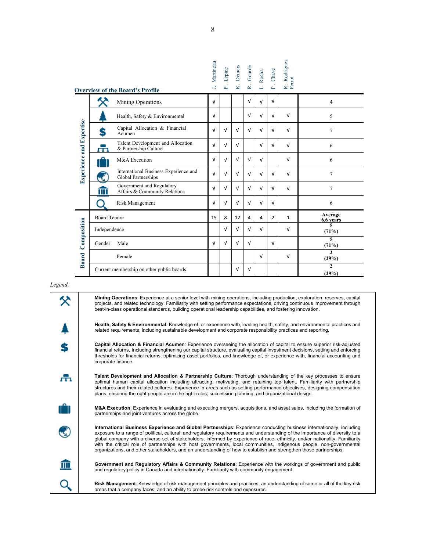|                                 |                                                              | <b>Overview of the Board's Profile</b>                     | J. Martineau | Lépine<br>$\mathbf{r}$ | Demers<br>$\vec{\mathbf{R}}$ . | R. Gourde  | I. Rocha       | P. Chave     | R. Rodriguez<br>Perrot |                                  |
|---------------------------------|--------------------------------------------------------------|------------------------------------------------------------|--------------|------------------------|--------------------------------|------------|----------------|--------------|------------------------|----------------------------------|
|                                 |                                                              | Mining Operations                                          | ν            |                        |                                | $\sqrt{ }$ | $\sqrt{ }$     | $\sqrt{ }$   |                        | $\overline{4}$                   |
|                                 |                                                              | Health, Safety & Environmental                             | ν            |                        |                                | ν          | $\sqrt{ }$     | $\sqrt{ }$   | $\sqrt{ }$             | 5                                |
| <b>Experience and Expertise</b> | S                                                            | Capital Allocation & Financial<br>Acumen                   | $\sqrt{ }$   | ν                      | $\sqrt{ }$                     | $\sqrt{ }$ | $\sqrt{ }$     | $\sqrt{ }$   | $\sqrt{ }$             | $\overline{7}$                   |
|                                 | п.                                                           | Talent Development and Allocation<br>& Partnership Culture | ν            | ν                      | $\sqrt{ }$                     |            | $\sqrt{ }$     | $\sqrt{ }$   | $\sqrt{ }$             | 6                                |
|                                 | M&A Execution                                                |                                                            |              |                        | $\sqrt{ }$                     | $\sqrt{ }$ | $\sqrt{ }$     |              | $\sqrt{ }$             | 6                                |
|                                 | International Business Experience and<br>Global Partnerships |                                                            |              | ν                      | $\sqrt{ }$                     | $\sqrt{ }$ | $\sqrt{ }$     | $\sqrt{ }$   | $\sqrt{ }$             | $\overline{7}$                   |
|                                 | $\overline{\mathbf{m}}$                                      | Government and Regulatory<br>Affairs & Community Relations | ν            | $\sqrt{ }$             | $\sqrt{ }$                     | $\sqrt{ }$ | $\sqrt{ }$     | $\sqrt{ }$   | $\sqrt{ }$             | $\overline{7}$                   |
|                                 |                                                              | Risk Management                                            | ν            | ν                      | $\sqrt{ }$                     | ν          | $\sqrt{ }$     | $\sqrt{ }$   |                        | 6                                |
| <b>Board Tenure</b>             |                                                              | 15                                                         | 8            | 12                     | 4                              | 4          | $\overline{2}$ | $\mathbf{1}$ | Average<br>6,6 years   |                                  |
|                                 | Independence                                                 |                                                            |              | $\sqrt{ }$             | $\sqrt{ }$                     | $\sqrt{ }$ | $\sqrt{ }$     |              | $\sqrt{ }$             | 5<br>(71%)                       |
|                                 | Composition<br>Gender<br>Male                                |                                                            |              |                        | $\sqrt{ }$                     | $\sqrt{ }$ |                | $\sqrt{ }$   |                        | $\overline{\mathbf{s}}$<br>(71%) |
| <b>Board</b><br>Female          |                                                              |                                                            |              |                        |                                |            | $\sqrt{ }$     |              | ν                      | $\mathbf{2}$<br>(29%)            |
|                                 | Current membership on other public boards                    |                                                            |              |                        |                                | $\sqrt{ }$ |                |              |                        | $\mathbf{2}$<br>(29%)            |

父

S

喦

 $\mathbf{v}_i$ 

 $\overline{\mathbf{m}}$ 

Q

**Mining Operations**: Experience at a senior level with mining operations, including production, exploration, reserves, capital projects, and related technology. Familiarity with setting performance expectations, driving continuous improvement through best-in-class operational standards, building operational leadership capabilities, and fostering innovation.

**Health, Safety & Environmental**: Knowledge of, or experience with, leading health, safety, and environmental practices and related requirements, including sustainable development and corporate responsibility practices and reporting.

**Capital Allocation & Financial Acumen**: Experience overseeing the allocation of capital to ensure superior risk-adjusted financial returns, including strengthening our capital structure, evaluating capital investment decisions, setting and enforcing thresholds for financial returns, optimizing asset portfolios, and knowledge of, or experience with, financial accounting and corporate finance.

**Talent Development and Allocation & Partnership Culture**: Thorough understanding of the key processes to ensure optimal human capital allocation including attracting, motivating, and retaining top talent. Familiarity with partnership structures and their related cultures. Experience in areas such as setting performance objectives, designing compensation plans, ensuring the right people are in the right roles, succession planning, and organizational design.

**M&A Execution**: Experience in evaluating and executing mergers, acquisitions, and asset sales, including the formation of partnerships and joint ventures across the globe.

**International Business Experience and Global Partnerships**: Experience conducting business internationally, including exposure to a range of political, cultural, and regulatory requirements and understanding of the importance of diversity to a global company with a diverse set of stakeholders, informed by experience of race, ethnicity, and/or nationality. Familiarity with the critical role of partnerships with host governments, local communities, indigenous people, non-governmental organizations, and other stakeholders, and an understanding of how to establish and strengthen those partnerships.

**Government and Regulatory Affairs & Community Relations**: Experience with the workings of government and public and regulatory policy in Canada and internationally. Familiarity with community engagement.

**Risk Management**: Knowledge of risk management principles and practices, an understanding of some or all of the key risk areas that a company faces, and an ability to probe risk controls and exposures.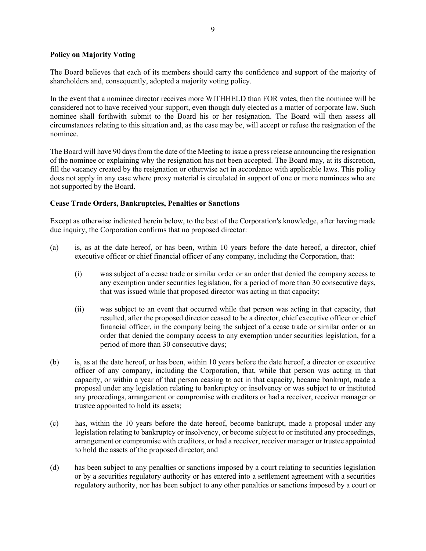### **Policy on Majority Voting**

The Board believes that each of its members should carry the confidence and support of the majority of shareholders and, consequently, adopted a majority voting policy.

In the event that a nominee director receives more WITHHELD than FOR votes, then the nominee will be considered not to have received your support, even though duly elected as a matter of corporate law. Such nominee shall forthwith submit to the Board his or her resignation. The Board will then assess all circumstances relating to this situation and, as the case may be, will accept or refuse the resignation of the nominee.

The Board will have 90 days from the date of the Meeting to issue a press release announcing the resignation of the nominee or explaining why the resignation has not been accepted. The Board may, at its discretion, fill the vacancy created by the resignation or otherwise act in accordance with applicable laws. This policy does not apply in any case where proxy material is circulated in support of one or more nominees who are not supported by the Board.

### **Cease Trade Orders, Bankruptcies, Penalties or Sanctions**

Except as otherwise indicated herein below, to the best of the Corporation's knowledge, after having made due inquiry, the Corporation confirms that no proposed director:

- (a) is, as at the date hereof, or has been, within 10 years before the date hereof, a director, chief executive officer or chief financial officer of any company, including the Corporation, that:
	- (i) was subject of a cease trade or similar order or an order that denied the company access to any exemption under securities legislation, for a period of more than 30 consecutive days, that was issued while that proposed director was acting in that capacity;
	- (ii) was subject to an event that occurred while that person was acting in that capacity, that resulted, after the proposed director ceased to be a director, chief executive officer or chief financial officer, in the company being the subject of a cease trade or similar order or an order that denied the company access to any exemption under securities legislation, for a period of more than 30 consecutive days;
- (b) is, as at the date hereof, or has been, within 10 years before the date hereof, a director or executive officer of any company, including the Corporation, that, while that person was acting in that capacity, or within a year of that person ceasing to act in that capacity, became bankrupt, made a proposal under any legislation relating to bankruptcy or insolvency or was subject to or instituted any proceedings, arrangement or compromise with creditors or had a receiver, receiver manager or trustee appointed to hold its assets;
- (c) has, within the 10 years before the date hereof, become bankrupt, made a proposal under any legislation relating to bankruptcy or insolvency, or become subject to or instituted any proceedings, arrangement or compromise with creditors, or had a receiver, receiver manager or trustee appointed to hold the assets of the proposed director; and
- (d) has been subject to any penalties or sanctions imposed by a court relating to securities legislation or by a securities regulatory authority or has entered into a settlement agreement with a securities regulatory authority, nor has been subject to any other penalties or sanctions imposed by a court or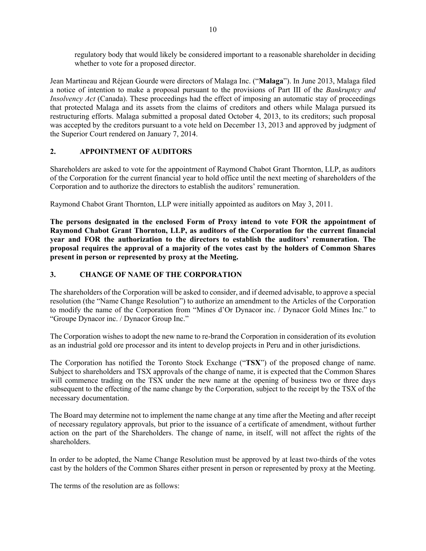regulatory body that would likely be considered important to a reasonable shareholder in deciding whether to vote for a proposed director.

Jean Martineau and Réjean Gourde were directors of Malaga Inc. ("**Malaga**"). In June 2013, Malaga filed a notice of intention to make a proposal pursuant to the provisions of Part III of the *Bankruptcy and Insolvency Act* (Canada). These proceedings had the effect of imposing an automatic stay of proceedings that protected Malaga and its assets from the claims of creditors and others while Malaga pursued its restructuring efforts. Malaga submitted a proposal dated October 4, 2013, to its creditors; such proposal was accepted by the creditors pursuant to a vote held on December 13, 2013 and approved by judgment of the Superior Court rendered on January 7, 2014.

# **2. APPOINTMENT OF AUDITORS**

Shareholders are asked to vote for the appointment of Raymond Chabot Grant Thornton, LLP, as auditors of the Corporation for the current financial year to hold office until the next meeting of shareholders of the Corporation and to authorize the directors to establish the auditors' remuneration.

Raymond Chabot Grant Thornton, LLP were initially appointed as auditors on May 3, 2011.

**The persons designated in the enclosed Form of Proxy intend to vote FOR the appointment of Raymond Chabot Grant Thornton, LLP, as auditors of the Corporation for the current financial year and FOR the authorization to the directors to establish the auditors' remuneration. The proposal requires the approval of a majority of the votes cast by the holders of Common Shares present in person or represented by proxy at the Meeting.**

# **3. CHANGE OF NAME OF THE CORPORATION**

The shareholders of the Corporation will be asked to consider, and if deemed advisable, to approve a special resolution (the "Name Change Resolution") to authorize an amendment to the Articles of the Corporation to modify the name of the Corporation from "Mines d'Or Dynacor inc. / Dynacor Gold Mines Inc." to "Groupe Dynacor inc. / Dynacor Group Inc."

The Corporation wishes to adopt the new name to re-brand the Corporation in consideration of its evolution as an industrial gold ore processor and its intent to develop projects in Peru and in other jurisdictions.

The Corporation has notified the Toronto Stock Exchange ("**TSX**") of the proposed change of name. Subject to shareholders and TSX approvals of the change of name, it is expected that the Common Shares will commence trading on the TSX under the new name at the opening of business two or three days subsequent to the effecting of the name change by the Corporation, subject to the receipt by the TSX of the necessary documentation.

The Board may determine not to implement the name change at any time after the Meeting and after receipt of necessary regulatory approvals, but prior to the issuance of a certificate of amendment, without further action on the part of the Shareholders. The change of name, in itself, will not affect the rights of the shareholders.

In order to be adopted, the Name Change Resolution must be approved by at least two-thirds of the votes cast by the holders of the Common Shares either present in person or represented by proxy at the Meeting.

The terms of the resolution are as follows: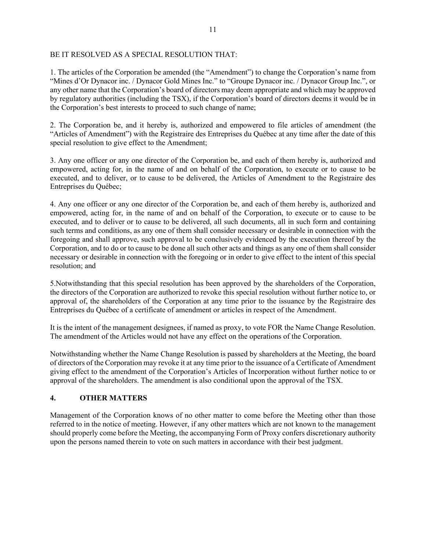### BE IT RESOLVED AS A SPECIAL RESOLUTION THAT:

1. The articles of the Corporation be amended (the "Amendment") to change the Corporation's name from "Mines d'Or Dynacor inc. / Dynacor Gold Mines Inc." to "Groupe Dynacor inc. / Dynacor Group Inc.", or any other name that the Corporation's board of directors may deem appropriate and which may be approved by regulatory authorities (including the TSX), if the Corporation's board of directors deems it would be in the Corporation's best interests to proceed to such change of name;

2. The Corporation be, and it hereby is, authorized and empowered to file articles of amendment (the "Articles of Amendment") with the Registraire des Entreprises du Québec at any time after the date of this special resolution to give effect to the Amendment;

3. Any one officer or any one director of the Corporation be, and each of them hereby is, authorized and empowered, acting for, in the name of and on behalf of the Corporation, to execute or to cause to be executed, and to deliver, or to cause to be delivered, the Articles of Amendment to the Registraire des Entreprises du Québec;

4. Any one officer or any one director of the Corporation be, and each of them hereby is, authorized and empowered, acting for, in the name of and on behalf of the Corporation, to execute or to cause to be executed, and to deliver or to cause to be delivered, all such documents, all in such form and containing such terms and conditions, as any one of them shall consider necessary or desirable in connection with the foregoing and shall approve, such approval to be conclusively evidenced by the execution thereof by the Corporation, and to do or to cause to be done all such other acts and things as any one of them shall consider necessary or desirable in connection with the foregoing or in order to give effect to the intent of this special resolution; and

5.Notwithstanding that this special resolution has been approved by the shareholders of the Corporation, the directors of the Corporation are authorized to revoke this special resolution without further notice to, or approval of, the shareholders of the Corporation at any time prior to the issuance by the Registraire des Entreprises du Québec of a certificate of amendment or articles in respect of the Amendment.

It is the intent of the management designees, if named as proxy, to vote FOR the Name Change Resolution. The amendment of the Articles would not have any effect on the operations of the Corporation.

Notwithstanding whether the Name Change Resolution is passed by shareholders at the Meeting, the board of directors of the Corporation may revoke it at any time prior to the issuance of a Certificate of Amendment giving effect to the amendment of the Corporation's Articles of Incorporation without further notice to or approval of the shareholders. The amendment is also conditional upon the approval of the TSX.

# **4. OTHER MATTERS**

Management of the Corporation knows of no other matter to come before the Meeting other than those referred to in the notice of meeting. However, if any other matters which are not known to the management should properly come before the Meeting, the accompanying Form of Proxy confers discretionary authority upon the persons named therein to vote on such matters in accordance with their best judgment.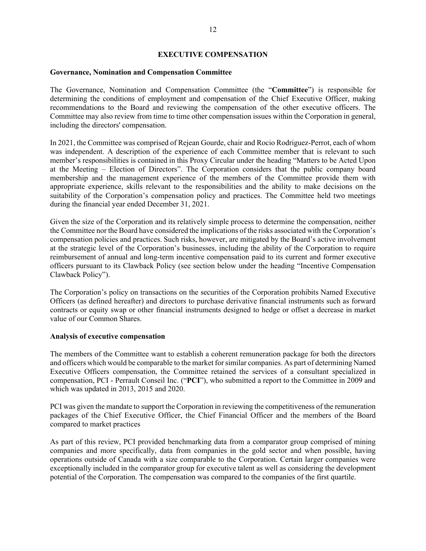### **EXECUTIVE COMPENSATION**

#### **Governance, Nomination and Compensation Committee**

The Governance, Nomination and Compensation Committee (the "**Committee**") is responsible for determining the conditions of employment and compensation of the Chief Executive Officer, making recommendations to the Board and reviewing the compensation of the other executive officers. The Committee may also review from time to time other compensation issues within the Corporation in general, including the directors' compensation.

In 2021, the Committee was comprised of Rejean Gourde, chair and Rocio Rodriguez-Perrot, each of whom was independent. A description of the experience of each Committee member that is relevant to such member's responsibilities is contained in this Proxy Circular under the heading "Matters to be Acted Upon at the Meeting – Election of Directors". The Corporation considers that the public company board membership and the management experience of the members of the Committee provide them with appropriate experience, skills relevant to the responsibilities and the ability to make decisions on the suitability of the Corporation's compensation policy and practices. The Committee held two meetings during the financial year ended December 31, 2021.

Given the size of the Corporation and its relatively simple process to determine the compensation, neither the Committee nor the Board have considered the implications of the risks associated with the Corporation's compensation policies and practices. Such risks, however, are mitigated by the Board's active involvement at the strategic level of the Corporation's businesses, including the ability of the Corporation to require reimbursement of annual and long-term incentive compensation paid to its current and former executive officers pursuant to its Clawback Policy (see section below under the heading "Incentive Compensation Clawback Policy").

The Corporation's policy on transactions on the securities of the Corporation prohibits Named Executive Officers (as defined hereafter) and directors to purchase derivative financial instruments such as forward contracts or equity swap or other financial instruments designed to hedge or offset a decrease in market value of our Common Shares.

### **Analysis of executive compensation**

The members of the Committee want to establish a coherent remuneration package for both the directors and officers which would be comparable to the market for similar companies. As part of determining Named Executive Officers compensation, the Committee retained the services of a consultant specialized in compensation, PCI - Perrault Conseil Inc. ("**PCI**"), who submitted a report to the Committee in 2009 and which was updated in 2013, 2015 and 2020.

PCI was given the mandate to support the Corporation in reviewing the competitiveness of the remuneration packages of the Chief Executive Officer, the Chief Financial Officer and the members of the Board compared to market practices

As part of this review, PCI provided benchmarking data from a comparator group comprised of mining companies and more specifically, data from companies in the gold sector and when possible, having operations outside of Canada with a size comparable to the Corporation. Certain larger companies were exceptionally included in the comparator group for executive talent as well as considering the development potential of the Corporation. The compensation was compared to the companies of the first quartile.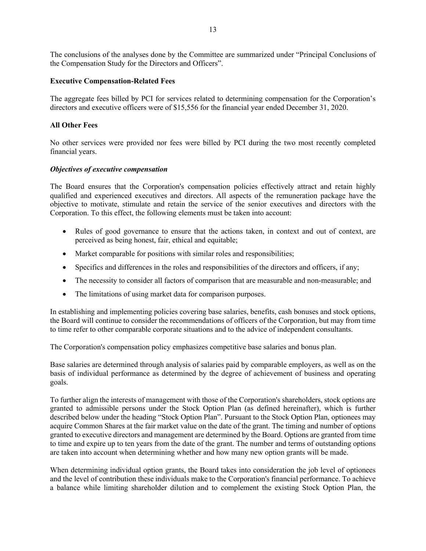The conclusions of the analyses done by the Committee are summarized under "Principal Conclusions of the Compensation Study for the Directors and Officers".

### **Executive Compensation-Related Fees**

The aggregate fees billed by PCI for services related to determining compensation for the Corporation's directors and executive officers were of \$15,556 for the financial year ended December 31, 2020.

# **All Other Fees**

No other services were provided nor fees were billed by PCI during the two most recently completed financial years.

### *Objectives of executive compensation*

The Board ensures that the Corporation's compensation policies effectively attract and retain highly qualified and experienced executives and directors. All aspects of the remuneration package have the objective to motivate, stimulate and retain the service of the senior executives and directors with the Corporation. To this effect, the following elements must be taken into account:

- Rules of good governance to ensure that the actions taken, in context and out of context, are perceived as being honest, fair, ethical and equitable;
- Market comparable for positions with similar roles and responsibilities;
- Specifics and differences in the roles and responsibilities of the directors and officers, if any;
- The necessity to consider all factors of comparison that are measurable and non-measurable; and
- The limitations of using market data for comparison purposes.

In establishing and implementing policies covering base salaries, benefits, cash bonuses and stock options, the Board will continue to consider the recommendations of officers of the Corporation, but may from time to time refer to other comparable corporate situations and to the advice of independent consultants.

The Corporation's compensation policy emphasizes competitive base salaries and bonus plan.

Base salaries are determined through analysis of salaries paid by comparable employers, as well as on the basis of individual performance as determined by the degree of achievement of business and operating goals.

To further align the interests of management with those of the Corporation's shareholders, stock options are granted to admissible persons under the Stock Option Plan (as defined hereinafter), which is further described below under the heading "Stock Option Plan". Pursuant to the Stock Option Plan, optionees may acquire Common Shares at the fair market value on the date of the grant. The timing and number of options granted to executive directors and management are determined by the Board. Options are granted from time to time and expire up to ten years from the date of the grant. The number and terms of outstanding options are taken into account when determining whether and how many new option grants will be made.

When determining individual option grants, the Board takes into consideration the job level of optionees and the level of contribution these individuals make to the Corporation's financial performance. To achieve a balance while limiting shareholder dilution and to complement the existing Stock Option Plan, the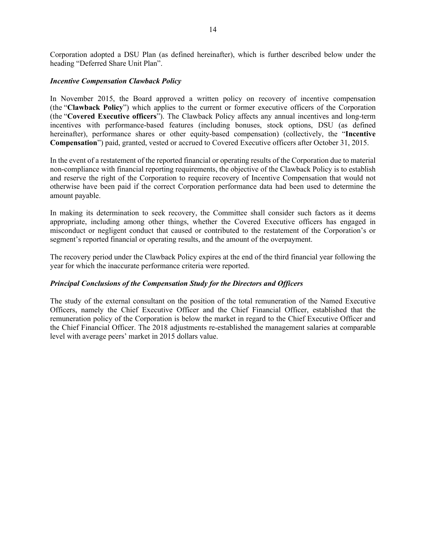Corporation adopted a DSU Plan (as defined hereinafter), which is further described below under the heading "Deferred Share Unit Plan".

### *Incentive Compensation Clawback Policy*

In November 2015, the Board approved a written policy on recovery of incentive compensation (the "**Clawback Policy**") which applies to the current or former executive officers of the Corporation (the "**Covered Executive officers**"). The Clawback Policy affects any annual incentives and long-term incentives with performance-based features (including bonuses, stock options, DSU (as defined hereinafter), performance shares or other equity-based compensation) (collectively, the "**Incentive Compensation**") paid, granted, vested or accrued to Covered Executive officers after October 31, 2015.

In the event of a restatement of the reported financial or operating results of the Corporation due to material non-compliance with financial reporting requirements, the objective of the Clawback Policy is to establish and reserve the right of the Corporation to require recovery of Incentive Compensation that would not otherwise have been paid if the correct Corporation performance data had been used to determine the amount payable.

In making its determination to seek recovery, the Committee shall consider such factors as it deems appropriate, including among other things, whether the Covered Executive officers has engaged in misconduct or negligent conduct that caused or contributed to the restatement of the Corporation's or segment's reported financial or operating results, and the amount of the overpayment.

The recovery period under the Clawback Policy expires at the end of the third financial year following the year for which the inaccurate performance criteria were reported.

# *Principal Conclusions of the Compensation Study for the Directors and Officers*

The study of the external consultant on the position of the total remuneration of the Named Executive Officers, namely the Chief Executive Officer and the Chief Financial Officer, established that the remuneration policy of the Corporation is below the market in regard to the Chief Executive Officer and the Chief Financial Officer. The 2018 adjustments re-established the management salaries at comparable level with average peers' market in 2015 dollars value.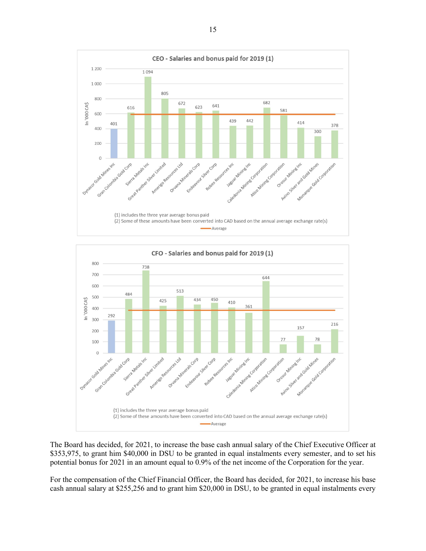

The Board has decided, for 2021, to increase the base cash annual salary of the Chief Executive Officer at \$353,975, to grant him \$40,000 in DSU to be granted in equal instalments every semester, and to set his potential bonus for 2021 in an amount equal to 0.9% of the net income of the Corporation for the year.

For the compensation of the Chief Financial Officer, the Board has decided, for 2021, to increase his base cash annual salary at \$255,256 and to grant him \$20,000 in DSU, to be granted in equal instalments every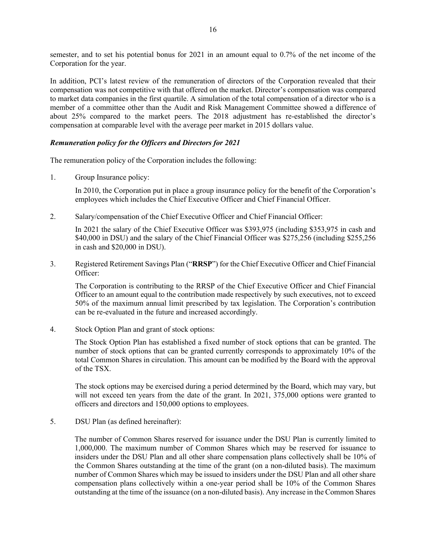semester, and to set his potential bonus for 2021 in an amount equal to 0.7% of the net income of the Corporation for the year.

In addition, PCI's latest review of the remuneration of directors of the Corporation revealed that their compensation was not competitive with that offered on the market. Director's compensation was compared to market data companies in the first quartile. A simulation of the total compensation of a director who is a member of a committee other than the Audit and Risk Management Committee showed a difference of about 25% compared to the market peers. The 2018 adjustment has re-established the director's compensation at comparable level with the average peer market in 2015 dollars value.

### *Remuneration policy for the Officers and Directors for 2021*

The remuneration policy of the Corporation includes the following:

1. Group Insurance policy:

In 2010, the Corporation put in place a group insurance policy for the benefit of the Corporation's employees which includes the Chief Executive Officer and Chief Financial Officer.

2. Salary/compensation of the Chief Executive Officer and Chief Financial Officer:

In 2021 the salary of the Chief Executive Officer was \$393,975 (including \$353,975 in cash and \$40,000 in DSU) and the salary of the Chief Financial Officer was \$275,256 (including \$255,256 in cash and \$20,000 in DSU).

3. Registered Retirement Savings Plan ("**RRSP**") for the Chief Executive Officer and Chief Financial Officer:

The Corporation is contributing to the RRSP of the Chief Executive Officer and Chief Financial Officer to an amount equal to the contribution made respectively by such executives, not to exceed 50% of the maximum annual limit prescribed by tax legislation. The Corporation's contribution can be re-evaluated in the future and increased accordingly.

4. Stock Option Plan and grant of stock options:

The Stock Option Plan has established a fixed number of stock options that can be granted. The number of stock options that can be granted currently corresponds to approximately 10% of the total Common Shares in circulation. This amount can be modified by the Board with the approval of the TSX.

The stock options may be exercised during a period determined by the Board, which may vary, but will not exceed ten years from the date of the grant. In 2021, 375,000 options were granted to officers and directors and 150,000 options to employees.

5. DSU Plan (as defined hereinafter):

The number of Common Shares reserved for issuance under the DSU Plan is currently limited to 1,000,000. The maximum number of Common Shares which may be reserved for issuance to insiders under the DSU Plan and all other share compensation plans collectively shall be 10% of the Common Shares outstanding at the time of the grant (on a non-diluted basis). The maximum number of Common Shares which may be issued to insiders under the DSU Plan and all other share compensation plans collectively within a one-year period shall be 10% of the Common Shares outstanding at the time of the issuance (on a non-diluted basis). Any increase in the Common Shares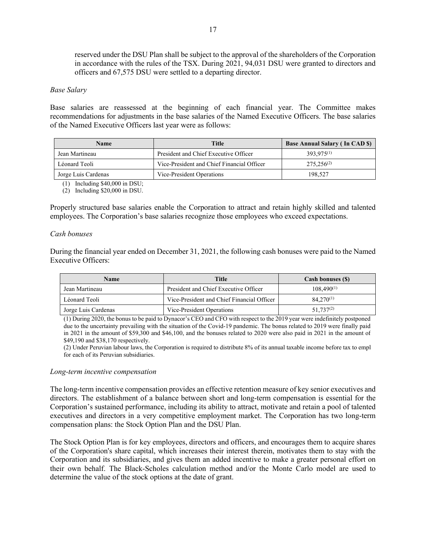reserved under the DSU Plan shall be subject to the approval of the shareholders of the Corporation in accordance with the rules of the TSX. During 2021, 94,031 DSU were granted to directors and officers and 67,575 DSU were settled to a departing director.

#### *Base Salary*

Base salaries are reassessed at the beginning of each financial year. The Committee makes recommendations for adjustments in the base salaries of the Named Executive Officers. The base salaries of the Named Executive Officers last year were as follows:

| <b>Name</b>         | Title                                      | <b>Base Annual Salary (In CAD \$)</b> |
|---------------------|--------------------------------------------|---------------------------------------|
| Jean Martineau      | President and Chief Executive Officer      | $393.975^{(1)}$                       |
| Léonard Teoli       | Vice-President and Chief Financial Officer | $275.256^{(2)}$                       |
| Jorge Luis Cardenas | Vice-President Operations                  | 198,527                               |

(1) Including \$40,000 in DSU;

(2) Including \$20,000 in DSU.

Properly structured base salaries enable the Corporation to attract and retain highly skilled and talented employees. The Corporation's base salaries recognize those employees who exceed expectations.

#### *Cash bonuses*

During the financial year ended on December 31, 2021, the following cash bonuses were paid to the Named Executive Officers:

| <b>Name</b>         | <b>Title</b>                               | <b>Cash bonuses (\$)</b> |  |  |
|---------------------|--------------------------------------------|--------------------------|--|--|
| Jean Martineau      | President and Chief Executive Officer      | $108,490^{(1)}$          |  |  |
| Léonard Teoli       | Vice-President and Chief Financial Officer | $84.270^{(1)}$           |  |  |
| Jorge Luis Cardenas | Vice-President Operations                  | $51.737^{(2)}$           |  |  |

(1) During 2020, the bonus to be paid to Dynacor's CEO and CFO with respect to the 2019 year were indefinitely postponed due to the uncertainty prevailing with the situation of the Covid-19 pandemic. The bonus related to 2019 were finally paid in 2021 in the amount of \$59,300 and \$46,100, and the bonuses related to 2020 were also paid in 2021 in the amount of \$49,190 and \$38,170 respectively.

(2) Under Peruvian labour laws, the Corporation is required to distribute 8% of its annual taxable income before tax to empl for each of its Peruvian subsidiaries.

#### *Long-term incentive compensation*

The long-term incentive compensation provides an effective retention measure of key senior executives and directors. The establishment of a balance between short and long-term compensation is essential for the Corporation's sustained performance, including its ability to attract, motivate and retain a pool of talented executives and directors in a very competitive employment market. The Corporation has two long-term compensation plans: the Stock Option Plan and the DSU Plan.

The Stock Option Plan is for key employees, directors and officers, and encourages them to acquire shares of the Corporation's share capital, which increases their interest therein, motivates them to stay with the Corporation and its subsidiaries, and gives them an added incentive to make a greater personal effort on their own behalf. The Black-Scholes calculation method and/or the Monte Carlo model are used to determine the value of the stock options at the date of grant.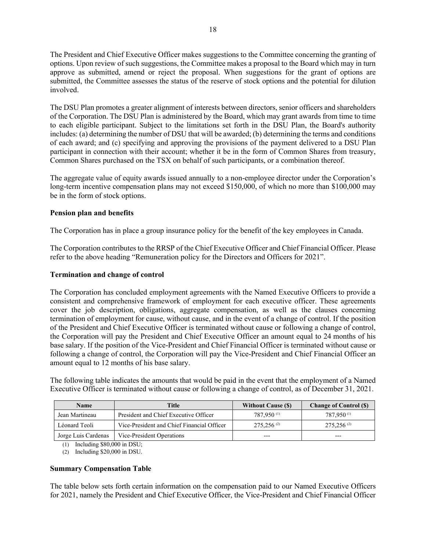The President and Chief Executive Officer makes suggestions to the Committee concerning the granting of options. Upon review of such suggestions, the Committee makes a proposal to the Board which may in turn approve as submitted, amend or reject the proposal. When suggestions for the grant of options are submitted, the Committee assesses the status of the reserve of stock options and the potential for dilution involved.

The DSU Plan promotes a greater alignment of interests between directors, senior officers and shareholders of the Corporation. The DSU Plan is administered by the Board, which may grant awards from time to time to each eligible participant. Subject to the limitations set forth in the DSU Plan, the Board's authority includes: (a) determining the number of DSU that will be awarded; (b) determining the terms and conditions of each award; and (c) specifying and approving the provisions of the payment delivered to a DSU Plan participant in connection with their account; whether it be in the form of Common Shares from treasury, Common Shares purchased on the TSX on behalf of such participants, or a combination thereof.

The aggregate value of equity awards issued annually to a non-employee director under the Corporation's long-term incentive compensation plans may not exceed \$150,000, of which no more than \$100,000 may be in the form of stock options.

# **Pension plan and benefits**

The Corporation has in place a group insurance policy for the benefit of the key employees in Canada.

The Corporation contributes to the RRSP of the Chief Executive Officer and Chief Financial Officer. Please refer to the above heading "Remuneration policy for the Directors and Officers for 2021".

### **Termination and change of control**

The Corporation has concluded employment agreements with the Named Executive Officers to provide a consistent and comprehensive framework of employment for each executive officer. These agreements cover the job description, obligations, aggregate compensation, as well as the clauses concerning termination of employment for cause, without cause, and in the event of a change of control. If the position of the President and Chief Executive Officer is terminated without cause or following a change of control, the Corporation will pay the President and Chief Executive Officer an amount equal to 24 months of his base salary. If the position of the Vice-President and Chief Financial Officer is terminated without cause or following a change of control, the Corporation will pay the Vice-President and Chief Financial Officer an amount equal to 12 months of his base salary.

The following table indicates the amounts that would be paid in the event that the employment of a Named Executive Officer is terminated without cause or following a change of control, as of December 31, 2021.

| <b>Name</b>         | <b>Title</b>                               | <b>Without Cause (S)</b> | <b>Change of Control (\$)</b> |
|---------------------|--------------------------------------------|--------------------------|-------------------------------|
| Jean Martineau      | President and Chief Executive Officer      | 787,950 (1)              | 787,950 <sup>(1)</sup>        |
| Léonard Teoli       | Vice-President and Chief Financial Officer | $275.256^{(2)}$          | $275.256^{(2)}$               |
| Jorge Luis Cardenas | Vice-President Operations                  |                          | $---$                         |

(1) Including \$80,000 in DSU;

(2) Including \$20,000 in DSU.

# **Summary Compensation Table**

The table below sets forth certain information on the compensation paid to our Named Executive Officers for 2021, namely the President and Chief Executive Officer, the Vice-President and Chief Financial Officer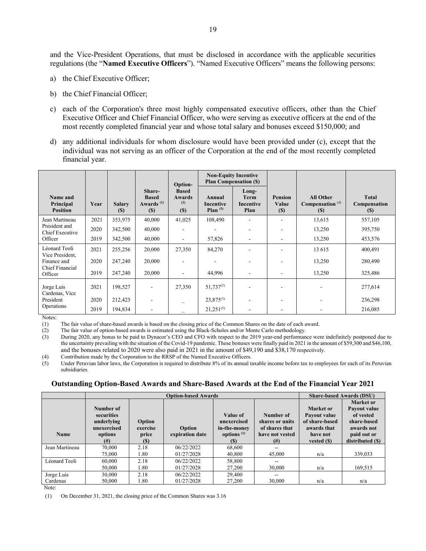and the Vice-President Operations, that must be disclosed in accordance with the applicable securities regulations (the "**Named Executive Officers**"). "Named Executive Officers" means the following persons:

- a) the Chief Executive Officer;
- b) the Chief Financial Officer;
- c) each of the Corporation's three most highly compensated executive officers, other than the Chief Executive Officer and Chief Financial Officer, who were serving as executive officers at the end of the most recently completed financial year and whose total salary and bonuses exceed \$150,000; and
- d) any additional individuals for whom disclosure would have been provided under (c), except that the individual was not serving as an officer of the Corporation at the end of the most recently completed financial year.

|                                             |      |                              |                                                           | Option-                                     | <b>Plan Compensation (\$)</b>        | <b>Non-Equity Incentive</b>               |                                |                                               |                                     |
|---------------------------------------------|------|------------------------------|-----------------------------------------------------------|---------------------------------------------|--------------------------------------|-------------------------------------------|--------------------------------|-----------------------------------------------|-------------------------------------|
| Name and<br>Principal<br><b>Position</b>    | Year | <b>Salary</b><br><b>(\$)</b> | Share-<br><b>Based</b><br>Awards <sup>(1)</sup><br>$(\$)$ | <b>Based</b><br><b>Awards</b><br>(2)<br>(S) | Annual<br>Incentive<br>Plan $^{(3)}$ | Long-<br><b>Term</b><br>Incentive<br>Plan | <b>Pension</b><br>Value<br>(S) | <b>All Other</b><br>Compensation $(4)$<br>(S) | <b>Total</b><br>Compensation<br>(S) |
| Jean Martineau                              | 2021 | 353,975                      | 40,000                                                    | 41,025                                      | 108,490                              |                                           |                                | 13,615                                        | 557,105                             |
| President and<br>Chief Executive<br>Officer | 2020 | 342,500                      | 40,000                                                    |                                             |                                      |                                           |                                | 13,250                                        | 395,750                             |
|                                             | 2019 | 342,500                      | 40,000                                                    | ۰                                           | 57,826                               |                                           |                                | 13,250                                        | 453,576                             |
| Léonard Teoli<br>Vice President,            | 2021 | 255,256                      | 20,000                                                    | 27,350                                      | 84,270                               |                                           |                                | 13 615                                        | 400,491                             |
| Finance and<br>Chief Financial<br>Officer   | 2020 | 247,240                      | 20,000                                                    | ۰                                           |                                      |                                           |                                | 13,250                                        | 280,490                             |
|                                             | 2019 | 247,240                      | 20,000                                                    | $\overline{\phantom{a}}$                    | 44,996                               | $\overline{\phantom{0}}$                  |                                | 13,250                                        | 325,486                             |
| Jorge Luis<br>Cardenas, Vice                | 2021 | 198,527                      |                                                           | 27,350                                      | $51,737^{(5)}$                       |                                           |                                |                                               | 277,614                             |
| President                                   | 2020 | 212,423                      |                                                           | $\overline{\phantom{0}}$                    | $23,875^{(5)}$                       |                                           |                                |                                               | 236,298                             |
| Operations                                  | 2019 | 194,834                      |                                                           |                                             | $21,251^{(5)}$                       |                                           |                                |                                               | 216,085                             |

Notes:

(1) The fair value of share-based awards is based on the closing price of the Common Shares on the date of each award.

(2) The fair value of option-based awards is estimated using the Black-Scholes and/or Monte Carlo methodology.<br>
(3) During 2020, any bonus to be paid to Dynacor's CEO and CFO with respect to the 2019 year-end performan

During 2020, any bonus to be paid to Dynacor's CEO and CFO with respect to the 2019 year-end performance were indefinitely postponed due to the uncertainty prevailing with the situation of the Covid-19 pandemic. These bonuses were finally paid in 2021 in the amount of \$59,300 and \$46,100, and the bonuses related to 2020 were also paid in 2021 in the amount of \$49,190 and \$38,170 respectively.

(4) Contribution made by the Corporation to the RRSP of the Named Executive Officers.<br>(5) Under Peruvian labor laws, the Corporation is required to distribute 8% of its annual to

Under Peruvian labor laws, the Corporation is required to distribute 8% of its annual taxable income before tax to employees for each of its Peruvian subsidiaries.

#### **Outstanding Option-Based Awards and Share-Based Awards at the End of the Financial Year 2021**

|                |                                                                             |                                    |                           |                                                                        | <b>Share-based Awards (DSU)</b>                                           |                                                                                        |                                                                                                               |
|----------------|-----------------------------------------------------------------------------|------------------------------------|---------------------------|------------------------------------------------------------------------|---------------------------------------------------------------------------|----------------------------------------------------------------------------------------|---------------------------------------------------------------------------------------------------------------|
| <b>Name</b>    | Number of<br>securities<br>underlying<br>unexercised<br>options<br>$^{(#)}$ | Option<br>exercise<br>price<br>(S) | Option<br>expiration date | Value of<br>unexercised<br>in-the-money<br>options $(1)$<br><b>(S)</b> | Number of<br>shares or units<br>of shares that<br>have not vested<br>(# ) | Market or<br>Payout value<br>of share-based<br>awards that<br>have not<br>vested $(S)$ | <b>Market or</b><br>Payout value<br>of vested<br>share-based<br>awards not<br>paid out or<br>distributed (\$) |
| Jean Martineau | 70,000                                                                      | 2.18                               | 06/22/2022                | 68,600                                                                 | --                                                                        |                                                                                        |                                                                                                               |
|                | 75,000                                                                      | 1.80                               | 01/27/2028                | 40,800                                                                 | 45,000                                                                    | n/a                                                                                    | 339,033                                                                                                       |
| Léonard Teoli  | 60,000                                                                      | 2.18                               | 06/22/2022                | 58,800                                                                 |                                                                           |                                                                                        |                                                                                                               |
|                | 50,000                                                                      | 1.80                               | 01/27/2028                | 27,200                                                                 | 30,000                                                                    | n/a                                                                                    | 169,515                                                                                                       |
| Jorge Luis     | 30,000                                                                      | 2.18                               | 06/22/2022                | 29,400                                                                 | --                                                                        |                                                                                        |                                                                                                               |
| Cardenas       | 50,000                                                                      | 1.80                               | 01/27/2028                | 27,200                                                                 | 30,000                                                                    | n/a                                                                                    | n/a                                                                                                           |

Note:

(1) On December 31, 2021, the closing price of the Common Shares was 3.16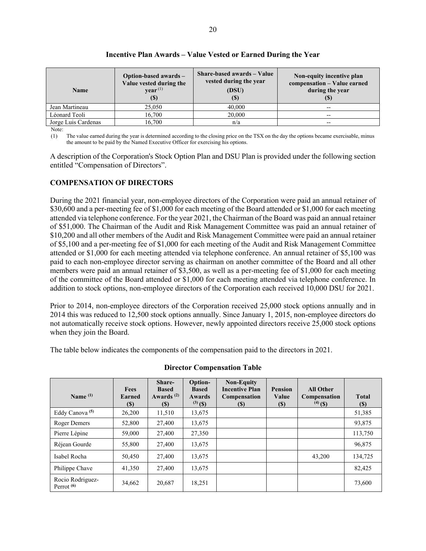| <b>Name</b>         | Option-based awards -<br>Value vested during the<br>$year^{(1)}$<br>$\left( \mathbb{S}\right)$ | Share-based awards – Value<br>vested during the year<br>(DSU)<br>(S) | Non-equity incentive plan<br>compensation - Value earned<br>during the year<br>ID) |
|---------------------|------------------------------------------------------------------------------------------------|----------------------------------------------------------------------|------------------------------------------------------------------------------------|
| Jean Martineau      | 25,050                                                                                         | 40,000                                                               | --                                                                                 |
| Léonard Teoli       | 16,700                                                                                         | 20,000                                                               | --                                                                                 |
| Jorge Luis Cardenas | 16,700                                                                                         | n/a                                                                  | --                                                                                 |

# **Incentive Plan Awards – Value Vested or Earned During the Year**

Note:

(1) The value earned during the year is determined according to the closing price on the TSX on the day the options became exercisable, minus the amount to be paid by the Named Executive Officer for exercising his options.

A description of the Corporation's Stock Option Plan and DSU Plan is provided under the following section entitled "Compensation of Directors".

# **COMPENSATION OF DIRECTORS**

During the 2021 financial year, non-employee directors of the Corporation were paid an annual retainer of \$30,600 and a per-meeting fee of \$1,000 for each meeting of the Board attended or \$1,000 for each meeting attended via telephone conference. For the year 2021, the Chairman of the Board was paid an annual retainer of \$51,000. The Chairman of the Audit and Risk Management Committee was paid an annual retainer of \$10,200 and all other members of the Audit and Risk Management Committee were paid an annual retainer of \$5,100 and a per-meeting fee of \$1,000 for each meeting of the Audit and Risk Management Committee attended or \$1,000 for each meeting attended via telephone conference. An annual retainer of \$5,100 was paid to each non-employee director serving as chairman on another committee of the Board and all other members were paid an annual retainer of \$3,500, as well as a per-meeting fee of \$1,000 for each meeting of the committee of the Board attended or \$1,000 for each meeting attended via telephone conference. In addition to stock options, non-employee directors of the Corporation each received 10,000 DSU for 2021.

Prior to 2014, non-employee directors of the Corporation received 25,000 stock options annually and in 2014 this was reduced to 12,500 stock options annually. Since January 1, 2015, non-employee directors do not automatically receive stock options. However, newly appointed directors receive 25,000 stock options when they join the Board.

The table below indicates the components of the compensation paid to the directors in 2021.

| Name $(1)$                       | <b>Fees</b><br><b>Earned</b><br>(S) | Share-<br><b>Based</b><br>Awards $(2)$<br>(S) | Option-<br><b>Based</b><br>Awards<br>$^{(3)}$ (\$) | <b>Non-Equity</b><br><b>Incentive Plan</b><br><b>Compensation</b><br>(S) | <b>Pension</b><br>Value<br>(S) | <b>All Other</b><br>Compensation<br>$^{(4)}$ (\$) | <b>Total</b><br><b>(S)</b> |
|----------------------------------|-------------------------------------|-----------------------------------------------|----------------------------------------------------|--------------------------------------------------------------------------|--------------------------------|---------------------------------------------------|----------------------------|
| Eddy Canova <sup>(5)</sup>       | 26,200                              | 11,510                                        | 13,675                                             |                                                                          |                                |                                                   | 51,385                     |
| Roger Demers                     | 52,800                              | 27,400                                        | 13,675                                             |                                                                          |                                |                                                   | 93,875                     |
| Pierre Lépine                    | 59,000                              | 27,400                                        | 27,350                                             |                                                                          |                                |                                                   | 113,750                    |
| Réjean Gourde                    | 55,800                              | 27,400                                        | 13,675                                             |                                                                          |                                |                                                   | 96,875                     |
| Isabel Rocha                     | 50,450                              | 27,400                                        | 13,675                                             |                                                                          |                                | 43,200                                            | 134,725                    |
| Philippe Chave                   | 41,350                              | 27,400                                        | 13,675                                             |                                                                          |                                |                                                   | 82,425                     |
| Rocio Rodriguez-<br>Perrot $(6)$ | 34,662                              | 20,687                                        | 18,251                                             |                                                                          |                                |                                                   | 73,600                     |

# **Director Compensation Table**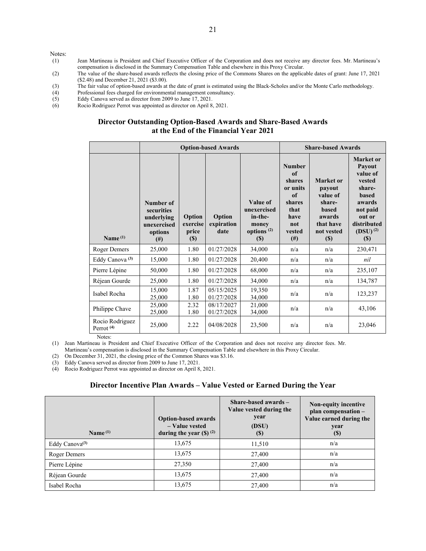Notes:

- (1) Jean Martineau is President and Chief Executive Officer of the Corporation and does not receive any director fees. Mr. Martineau's compensation is disclosed in the Summary Compensation Table and elsewhere in this Proxy Circular.
- (2) The value of the share-based awards reflects the closing price of the Commons Shares on the applicable dates of grant: June 17, 2021 (\$2.48) and December 21, 2021 (\$3.00).
- (3) The fair value of option-based awards at the date of grant is estimated using the Black-Scholes and/or the Monte Carlo methodology.<br>
(4) Professional fees charged for environmental management consultancy.
- (4) Professional fees charged for environmental management consultancy.<br>  $5$  Eddy Canova served as director from 2009 to June 17, 2021.
- Eddy Canova served as director from 2009 to June 17, 2021.
- (6) Rocio Rodriguez Perrot was appointed as director on April 8, 2021.

#### **Director Outstanding Option-Based Awards and Share-Based Awards at the End of the Financial Year 2021**

|                                                    |                                                                             |                                       | <b>Option-based Awards</b>   |                                                                     |                                                                                                    | <b>Share-based Awards</b>                                                                                |                                                                                                                                                   |
|----------------------------------------------------|-----------------------------------------------------------------------------|---------------------------------------|------------------------------|---------------------------------------------------------------------|----------------------------------------------------------------------------------------------------|----------------------------------------------------------------------------------------------------------|---------------------------------------------------------------------------------------------------------------------------------------------------|
| Name <sup>(1)</sup>                                | Number of<br>securities<br>underlying<br>unexercised<br>options<br>$^{(#)}$ | Option<br>exercise<br>price<br>$(\$)$ | Option<br>expiration<br>date | Value of<br>unexercised<br>in-the-<br>money<br>options $(2)$<br>(S) | <b>Number</b><br>of<br>shares<br>or units<br>of<br>shares<br>that<br>have<br>not<br>vested<br>(# ) | Market or<br>payout<br>value of<br>share-<br><b>based</b><br>awards<br>that have<br>not vested<br>$(\$)$ | Market or<br>Payout<br>value of<br>vested<br>share-<br><b>based</b><br>awards<br>not paid<br>out or<br>distributed<br>$(DSU)^{(2)}$<br><b>(S)</b> |
| <b>Roger Demers</b>                                | 25,000                                                                      | 1.80                                  | 01/27/2028                   | 34,000                                                              | n/a                                                                                                | n/a                                                                                                      | 230,471                                                                                                                                           |
| Eddy Canova <sup>(3)</sup>                         | 15,000                                                                      | 1.80                                  | 01/27/2028                   | 20,400                                                              | n/a                                                                                                | n/a                                                                                                      | nil                                                                                                                                               |
| Pierre Lépine                                      | 50,000                                                                      | 1.80                                  | 01/27/2028                   | 68,000                                                              | n/a                                                                                                | n/a                                                                                                      | 235,107                                                                                                                                           |
| Réjean Gourde                                      | 25,000                                                                      | 1.80                                  | 01/27/2028                   | 34,000                                                              | n/a                                                                                                | n/a                                                                                                      | 134,787                                                                                                                                           |
| Isabel Rocha                                       | 15,000<br>25,000                                                            | 1.87<br>1.80                          | 05/15/2025<br>01/27/2028     | 19,350<br>34,000                                                    | n/a                                                                                                | n/a                                                                                                      | 123,237                                                                                                                                           |
| Philippe Chave                                     | 25,000<br>25,000                                                            | 2.32<br>1.80                          | 08/17/2027<br>01/27/2028     | 21,000<br>34,000                                                    | n/a                                                                                                | n/a                                                                                                      | 43,106                                                                                                                                            |
| Rocio Rodriguez<br>Perrot <sup>(4)</sup><br>Notes: | 25,000                                                                      | 2.22                                  | 04/08/2028                   | 23,500                                                              | n/a                                                                                                | n/a                                                                                                      | 23,046                                                                                                                                            |

(1) Jean Martineau is President and Chief Executive Officer of the Corporation and does not receive any director fees. Mr. Martineau's compensation is disclosed in the Summary Compensation Table and elsewhere in this Proxy Circular.

(2) On December 31, 2021, the closing price of the Common Shares was \$3.16.

(3) Eddy Canova served as director from 2009 to June 17, 2021.

(4) Rocio Rodriguez Perrot was appointed as director on April 8, 2021.

#### **Director Incentive Plan Awards – Value Vested or Earned During the Year**

| Name $(1)$                 | <b>Option-based awards</b><br>- Value vested<br>during the year $(S)$ <sup>(2)</sup> | Share-based awards $-$<br>Value vested during the<br>year<br>(DSU)<br>$(S)$ | Non-equity incentive<br>plan compensation -<br>Value earned during the<br>year<br>$\left( \mathbb{S}\right)$ |
|----------------------------|--------------------------------------------------------------------------------------|-----------------------------------------------------------------------------|--------------------------------------------------------------------------------------------------------------|
| Eddy Canova <sup>(3)</sup> | 13,675                                                                               | 11,510                                                                      | n/a                                                                                                          |
| Roger Demers               | 13,675                                                                               | 27,400                                                                      | n/a                                                                                                          |
| Pierre Lépine              | 27,350                                                                               | 27,400                                                                      | n/a                                                                                                          |
| Réjean Gourde              | 13,675                                                                               | 27,400                                                                      | n/a                                                                                                          |
| Isabel Rocha               | 13,675                                                                               | 27,400                                                                      | n/a                                                                                                          |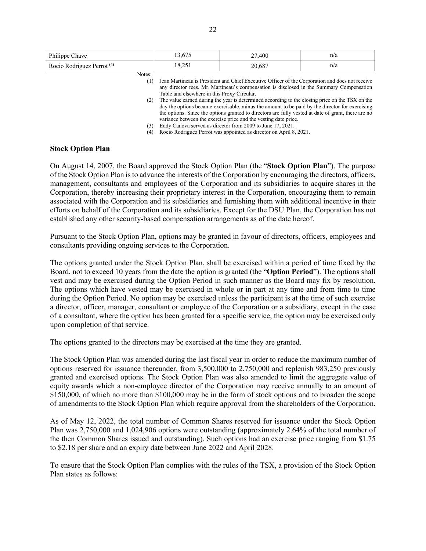| Philippe Chave                        | 13.675                                      | 27,400                                                                                                                                                                                                                                                                                                                                                                                           | n/a |
|---------------------------------------|---------------------------------------------|--------------------------------------------------------------------------------------------------------------------------------------------------------------------------------------------------------------------------------------------------------------------------------------------------------------------------------------------------------------------------------------------------|-----|
| Rocio Rodriguez Perrot <sup>(4)</sup> | 18.251                                      | 20.687                                                                                                                                                                                                                                                                                                                                                                                           | n/a |
| Notes:<br>(1)<br>(2)                  | Table and elsewhere in this Proxy Circular. | Jean Martineau is President and Chief Executive Officer of the Corporation and does not receive<br>any director fees. Mr. Martineau's compensation is disclosed in the Summary Compensation<br>The value earned during the year is determined according to the closing price on the TSX on the<br>day the options became exercisable, minus the amount to be paid by the director for exercising |     |

the options. Since the options granted to directors are fully vested at date of grant, there are no variance between the exercise price and the vesting date price.

(3) Eddy Canova served as director from 2009 to June 17, 2021.

(4) Rocio Rodriguez Perrot was appointed as director on April 8, 2021.

### **Stock Option Plan**

On August 14, 2007, the Board approved the Stock Option Plan (the "**Stock Option Plan**"). The purpose of the Stock Option Plan is to advance the interests of the Corporation by encouraging the directors, officers, management, consultants and employees of the Corporation and its subsidiaries to acquire shares in the Corporation, thereby increasing their proprietary interest in the Corporation, encouraging them to remain associated with the Corporation and its subsidiaries and furnishing them with additional incentive in their efforts on behalf of the Corporation and its subsidiaries. Except for the DSU Plan, the Corporation has not established any other security-based compensation arrangements as of the date hereof.

Pursuant to the Stock Option Plan, options may be granted in favour of directors, officers, employees and consultants providing ongoing services to the Corporation.

The options granted under the Stock Option Plan, shall be exercised within a period of time fixed by the Board, not to exceed 10 years from the date the option is granted (the "**Option Period**"). The options shall vest and may be exercised during the Option Period in such manner as the Board may fix by resolution. The options which have vested may be exercised in whole or in part at any time and from time to time during the Option Period. No option may be exercised unless the participant is at the time of such exercise a director, officer, manager, consultant or employee of the Corporation or a subsidiary, except in the case of a consultant, where the option has been granted for a specific service, the option may be exercised only upon completion of that service.

The options granted to the directors may be exercised at the time they are granted.

The Stock Option Plan was amended during the last fiscal year in order to reduce the maximum number of options reserved for issuance thereunder, from 3,500,000 to 2,750,000 and replenish 983,250 previously granted and exercised options. The Stock Option Plan was also amended to limit the aggregate value of equity awards which a non-employee director of the Corporation may receive annually to an amount of \$150,000, of which no more than \$100,000 may be in the form of stock options and to broaden the scope of amendments to the Stock Option Plan which require approval from the shareholders of the Corporation.

As of May 12, 2022, the total number of Common Shares reserved for issuance under the Stock Option Plan was 2,750,000 and 1,024,906 options were outstanding (approximately 2.64% of the total number of the then Common Shares issued and outstanding). Such options had an exercise price ranging from \$1.75 to \$2.18 per share and an expiry date between June 2022 and April 2028.

To ensure that the Stock Option Plan complies with the rules of the TSX, a provision of the Stock Option Plan states as follows: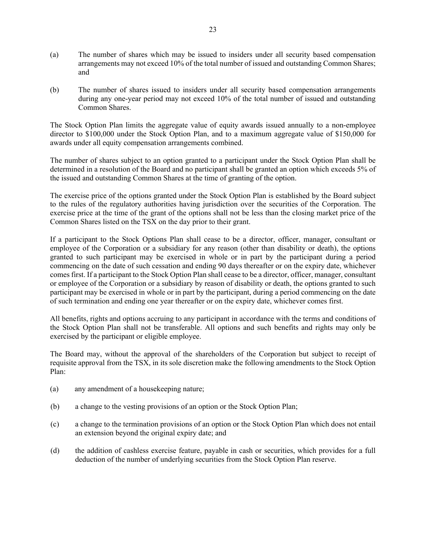- (a) The number of shares which may be issued to insiders under all security based compensation arrangements may not exceed 10% of the total number of issued and outstanding Common Shares; and
- (b) The number of shares issued to insiders under all security based compensation arrangements during any one-year period may not exceed 10% of the total number of issued and outstanding Common Shares.

The Stock Option Plan limits the aggregate value of equity awards issued annually to a non-employee director to \$100,000 under the Stock Option Plan, and to a maximum aggregate value of \$150,000 for awards under all equity compensation arrangements combined.

The number of shares subject to an option granted to a participant under the Stock Option Plan shall be determined in a resolution of the Board and no participant shall be granted an option which exceeds 5% of the issued and outstanding Common Shares at the time of granting of the option.

The exercise price of the options granted under the Stock Option Plan is established by the Board subject to the rules of the regulatory authorities having jurisdiction over the securities of the Corporation. The exercise price at the time of the grant of the options shall not be less than the closing market price of the Common Shares listed on the TSX on the day prior to their grant.

If a participant to the Stock Options Plan shall cease to be a director, officer, manager, consultant or employee of the Corporation or a subsidiary for any reason (other than disability or death), the options granted to such participant may be exercised in whole or in part by the participant during a period commencing on the date of such cessation and ending 90 days thereafter or on the expiry date, whichever comes first. If a participant to the Stock Option Plan shall cease to be a director, officer, manager, consultant or employee of the Corporation or a subsidiary by reason of disability or death, the options granted to such participant may be exercised in whole or in part by the participant, during a period commencing on the date of such termination and ending one year thereafter or on the expiry date, whichever comes first.

All benefits, rights and options accruing to any participant in accordance with the terms and conditions of the Stock Option Plan shall not be transferable. All options and such benefits and rights may only be exercised by the participant or eligible employee.

The Board may, without the approval of the shareholders of the Corporation but subject to receipt of requisite approval from the TSX, in its sole discretion make the following amendments to the Stock Option Plan:

- (a) any amendment of a housekeeping nature;
- (b) a change to the vesting provisions of an option or the Stock Option Plan;
- (c) a change to the termination provisions of an option or the Stock Option Plan which does not entail an extension beyond the original expiry date; and
- (d) the addition of cashless exercise feature, payable in cash or securities, which provides for a full deduction of the number of underlying securities from the Stock Option Plan reserve.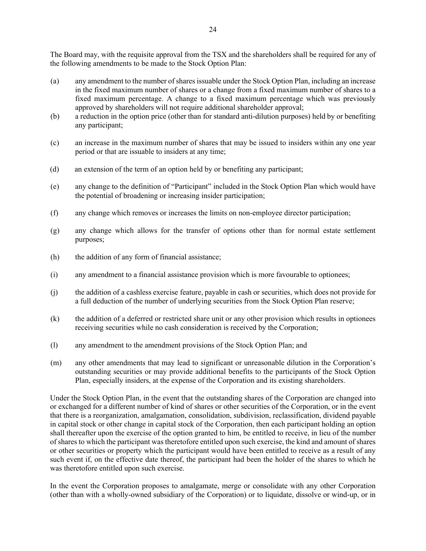The Board may, with the requisite approval from the TSX and the shareholders shall be required for any of the following amendments to be made to the Stock Option Plan:

- (a) any amendment to the number of shares issuable under the Stock Option Plan, including an increase in the fixed maximum number of shares or a change from a fixed maximum number of shares to a fixed maximum percentage. A change to a fixed maximum percentage which was previously approved by shareholders will not require additional shareholder approval;
- (b) a reduction in the option price (other than for standard anti-dilution purposes) held by or benefiting any participant;
- (c) an increase in the maximum number of shares that may be issued to insiders within any one year period or that are issuable to insiders at any time;
- (d) an extension of the term of an option held by or benefiting any participant;
- (e) any change to the definition of "Participant" included in the Stock Option Plan which would have the potential of broadening or increasing insider participation;
- (f) any change which removes or increases the limits on non-employee director participation;
- (g) any change which allows for the transfer of options other than for normal estate settlement purposes;
- (h) the addition of any form of financial assistance;
- (i) any amendment to a financial assistance provision which is more favourable to optionees;
- (j) the addition of a cashless exercise feature, payable in cash or securities, which does not provide for a full deduction of the number of underlying securities from the Stock Option Plan reserve;
- (k) the addition of a deferred or restricted share unit or any other provision which results in optionees receiving securities while no cash consideration is received by the Corporation;
- (l) any amendment to the amendment provisions of the Stock Option Plan; and
- (m) any other amendments that may lead to significant or unreasonable dilution in the Corporation's outstanding securities or may provide additional benefits to the participants of the Stock Option Plan, especially insiders, at the expense of the Corporation and its existing shareholders.

Under the Stock Option Plan, in the event that the outstanding shares of the Corporation are changed into or exchanged for a different number of kind of shares or other securities of the Corporation, or in the event that there is a reorganization, amalgamation, consolidation, subdivision, reclassification, dividend payable in capital stock or other change in capital stock of the Corporation, then each participant holding an option shall thereafter upon the exercise of the option granted to him, be entitled to receive, in lieu of the number of shares to which the participant was theretofore entitled upon such exercise, the kind and amount of shares or other securities or property which the participant would have been entitled to receive as a result of any such event if, on the effective date thereof, the participant had been the holder of the shares to which he was theretofore entitled upon such exercise.

In the event the Corporation proposes to amalgamate, merge or consolidate with any other Corporation (other than with a wholly-owned subsidiary of the Corporation) or to liquidate, dissolve or wind-up, or in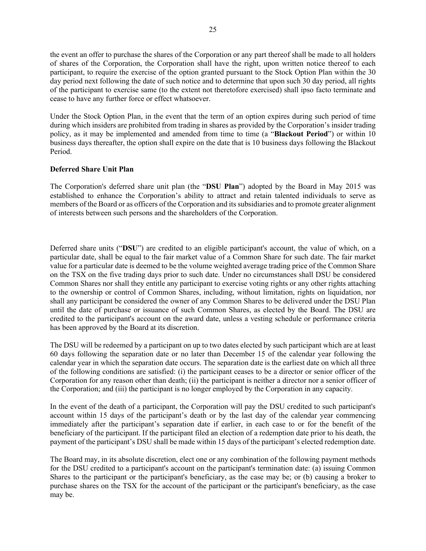the event an offer to purchase the shares of the Corporation or any part thereof shall be made to all holders of shares of the Corporation, the Corporation shall have the right, upon written notice thereof to each participant, to require the exercise of the option granted pursuant to the Stock Option Plan within the 30 day period next following the date of such notice and to determine that upon such 30 day period, all rights of the participant to exercise same (to the extent not theretofore exercised) shall ipso facto terminate and cease to have any further force or effect whatsoever.

Under the Stock Option Plan, in the event that the term of an option expires during such period of time during which insiders are prohibited from trading in shares as provided by the Corporation's insider trading policy, as it may be implemented and amended from time to time (a "**Blackout Period**") or within 10 business days thereafter, the option shall expire on the date that is 10 business days following the Blackout Period.

# **Deferred Share Unit Plan**

The Corporation's deferred share unit plan (the "**DSU Plan**") adopted by the Board in May 2015 was established to enhance the Corporation's ability to attract and retain talented individuals to serve as members of the Board or as officers of the Corporation and its subsidiaries and to promote greater alignment of interests between such persons and the shareholders of the Corporation.

Deferred share units ("**DSU**") are credited to an eligible participant's account, the value of which, on a particular date, shall be equal to the fair market value of a Common Share for such date. The fair market value for a particular date is deemed to be the volume weighted average trading price of the Common Share on the TSX on the five trading days prior to such date. Under no circumstances shall DSU be considered Common Shares nor shall they entitle any participant to exercise voting rights or any other rights attaching to the ownership or control of Common Shares, including, without limitation, rights on liquidation, nor shall any participant be considered the owner of any Common Shares to be delivered under the DSU Plan until the date of purchase or issuance of such Common Shares, as elected by the Board. The DSU are credited to the participant's account on the award date, unless a vesting schedule or performance criteria has been approved by the Board at its discretion.

The DSU will be redeemed by a participant on up to two dates elected by such participant which are at least 60 days following the separation date or no later than December 15 of the calendar year following the calendar year in which the separation date occurs. The separation date is the earliest date on which all three of the following conditions are satisfied: (i) the participant ceases to be a director or senior officer of the Corporation for any reason other than death; (ii) the participant is neither a director nor a senior officer of the Corporation; and (iii) the participant is no longer employed by the Corporation in any capacity.

In the event of the death of a participant, the Corporation will pay the DSU credited to such participant's account within 15 days of the participant's death or by the last day of the calendar year commencing immediately after the participant's separation date if earlier, in each case to or for the benefit of the beneficiary of the participant. If the participant filed an election of a redemption date prior to his death, the payment of the participant's DSU shall be made within 15 days of the participant's elected redemption date.

The Board may, in its absolute discretion, elect one or any combination of the following payment methods for the DSU credited to a participant's account on the participant's termination date: (a) issuing Common Shares to the participant or the participant's beneficiary, as the case may be; or (b) causing a broker to purchase shares on the TSX for the account of the participant or the participant's beneficiary, as the case may be.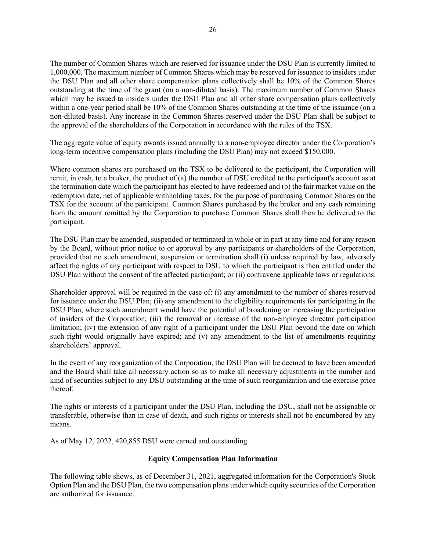The number of Common Shares which are reserved for issuance under the DSU Plan is currently limited to 1,000,000. The maximum number of Common Shares which may be reserved for issuance to insiders under the DSU Plan and all other share compensation plans collectively shall be 10% of the Common Shares outstanding at the time of the grant (on a non-diluted basis). The maximum number of Common Shares which may be issued to insiders under the DSU Plan and all other share compensation plans collectively within a one-year period shall be 10% of the Common Shares outstanding at the time of the issuance (on a non-diluted basis). Any increase in the Common Shares reserved under the DSU Plan shall be subject to the approval of the shareholders of the Corporation in accordance with the rules of the TSX.

The aggregate value of equity awards issued annually to a non-employee director under the Corporation's long-term incentive compensation plans (including the DSU Plan) may not exceed \$150,000.

Where common shares are purchased on the TSX to be delivered to the participant, the Corporation will remit, in cash, to a broker, the product of (a) the number of DSU credited to the participant's account as at the termination date which the participant has elected to have redeemed and (b) the fair market value on the redemption date, net of applicable withholding taxes, for the purpose of purchasing Common Shares on the TSX for the account of the participant. Common Shares purchased by the broker and any cash remaining from the amount remitted by the Corporation to purchase Common Shares shall then be delivered to the participant.

The DSU Plan may be amended, suspended or terminated in whole or in part at any time and for any reason by the Board, without prior notice to or approval by any participants or shareholders of the Corporation, provided that no such amendment, suspension or termination shall (i) unless required by law, adversely affect the rights of any participant with respect to DSU to which the participant is then entitled under the DSU Plan without the consent of the affected participant; or (ii) contravene applicable laws or regulations.

Shareholder approval will be required in the case of: (i) any amendment to the number of shares reserved for issuance under the DSU Plan; (ii) any amendment to the eligibility requirements for participating in the DSU Plan, where such amendment would have the potential of broadening or increasing the participation of insiders of the Corporation; (iii) the removal or increase of the non-employee director participation limitation; (iv) the extension of any right of a participant under the DSU Plan beyond the date on which such right would originally have expired; and (v) any amendment to the list of amendments requiring shareholders' approval.

In the event of any reorganization of the Corporation, the DSU Plan will be deemed to have been amended and the Board shall take all necessary action so as to make all necessary adjustments in the number and kind of securities subject to any DSU outstanding at the time of such reorganization and the exercise price thereof.

The rights or interests of a participant under the DSU Plan, including the DSU, shall not be assignable or transferable, otherwise than in case of death, and such rights or interests shall not be encumbered by any means.

As of May 12, 2022, 420,855 DSU were earned and outstanding.

# **Equity Compensation Plan Information**

The following table shows, as of December 31, 2021, aggregated information for the Corporation's Stock Option Plan and the DSU Plan, the two compensation plans under which equity securities of the Corporation are authorized for issuance.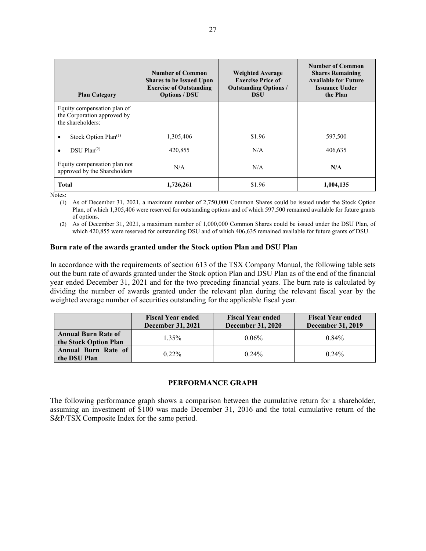| <b>Plan Category</b>                                                            | <b>Number of Common</b><br><b>Shares to be Issued Upon</b><br><b>Exercise of Outstanding</b><br><b>Options / DSU</b> | <b>Weighted Average</b><br><b>Exercise Price of</b><br><b>Outstanding Options /</b><br><b>DSU</b> | <b>Number of Common</b><br><b>Shares Remaining</b><br><b>Available for Future</b><br>Issuance Under<br>the Plan |
|---------------------------------------------------------------------------------|----------------------------------------------------------------------------------------------------------------------|---------------------------------------------------------------------------------------------------|-----------------------------------------------------------------------------------------------------------------|
| Equity compensation plan of<br>the Corporation approved by<br>the shareholders: |                                                                                                                      |                                                                                                   |                                                                                                                 |
| Stock Option Plan <sup>(1)</sup><br>٠                                           | 1,305,406                                                                                                            | \$1.96                                                                                            | 597,500                                                                                                         |
| $DSU$ Plan <sup>(2)</sup><br>٠                                                  | 420,855                                                                                                              | N/A                                                                                               | 406,635                                                                                                         |
| Equity compensation plan not<br>approved by the Shareholders                    | N/A                                                                                                                  | N/A                                                                                               | N/A                                                                                                             |
| <b>Total</b>                                                                    | 1,726,261                                                                                                            | \$1.96                                                                                            | 1,004,135                                                                                                       |

Notes:

(1) As of December 31, 2021, a maximum number of 2,750,000 Common Shares could be issued under the Stock Option Plan, of which 1,305,406 were reserved for outstanding options and of which 597,500 remained available for future grants of options.

(2) As of December 31, 2021, a maximum number of 1,000,000 Common Shares could be issued under the DSU Plan, of which 420,855 were reserved for outstanding DSU and of which 406,635 remained available for future grants of DSU.

### **Burn rate of the awards granted under the Stock option Plan and DSU Plan**

In accordance with the requirements of section 613 of the TSX Company Manual, the following table sets out the burn rate of awards granted under the Stock option Plan and DSU Plan as of the end of the financial year ended December 31, 2021 and for the two preceding financial years. The burn rate is calculated by dividing the number of awards granted under the relevant plan during the relevant fiscal year by the weighted average number of securities outstanding for the applicable fiscal year.

|                                                     | <b>Fiscal Year ended</b><br><b>December 31, 2021</b> | <b>Fiscal Year ended</b><br><b>December 31, 2020</b> | <b>Fiscal Year ended</b><br><b>December 31, 2019</b> |
|-----------------------------------------------------|------------------------------------------------------|------------------------------------------------------|------------------------------------------------------|
| <b>Annual Burn Rate of</b><br>the Stock Option Plan | $1.35\%$                                             | $0.06\%$                                             | $0.84\%$                                             |
| <b>Annual Burn Rate of</b><br>the DSU Plan          | $0.22\%$                                             | $0.24\%$                                             | $0.24\%$                                             |

# **PERFORMANCE GRAPH**

The following performance graph shows a comparison between the cumulative return for a shareholder, assuming an investment of \$100 was made December 31, 2016 and the total cumulative return of the S&P/TSX Composite Index for the same period.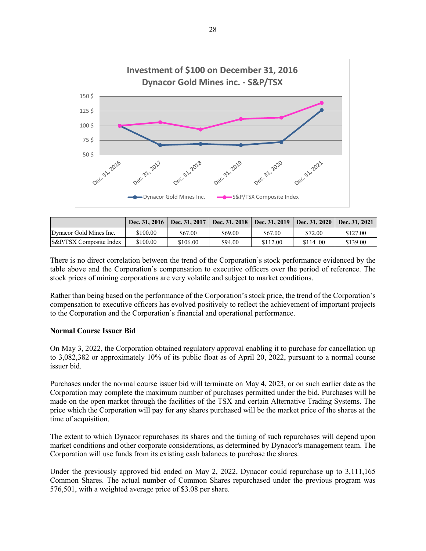

|                                    | Dec. 31, 2016 | Dec. 31, 2017 | Dec. 31, 2018   Dec. 31, 2019   Dec. 31, 2020 |          |          | Dec. 31, 2021 |
|------------------------------------|---------------|---------------|-----------------------------------------------|----------|----------|---------------|
| Dynacor Gold Mines Inc.            | \$100.00      | \$67.00       | \$69.00                                       | \$67.00  | \$72.00  | \$127.00      |
| <b>S&amp;P/TSX</b> Composite Index | \$100.00      | \$106.00      | \$94.00                                       | \$112.00 | \$114.00 | \$139.00      |

There is no direct correlation between the trend of the Corporation's stock performance evidenced by the table above and the Corporation's compensation to executive officers over the period of reference. The stock prices of mining corporations are very volatile and subject to market conditions.

Rather than being based on the performance of the Corporation's stock price, the trend of the Corporation's compensation to executive officers has evolved positively to reflect the achievement of important projects to the Corporation and the Corporation's financial and operational performance.

# **Normal Course Issuer Bid**

On May 3, 2022, the Corporation obtained regulatory approval enabling it to purchase for cancellation up to 3,082,382 or approximately 10% of its public float as of April 20, 2022, pursuant to a normal course issuer bid.

Purchases under the normal course issuer bid will terminate on May 4, 2023, or on such earlier date as the Corporation may complete the maximum number of purchases permitted under the bid. Purchases will be made on the open market through the facilities of the TSX and certain Alternative Trading Systems. The price which the Corporation will pay for any shares purchased will be the market price of the shares at the time of acquisition.

The extent to which Dynacor repurchases its shares and the timing of such repurchases will depend upon market conditions and other corporate considerations, as determined by Dynacor's management team. The Corporation will use funds from its existing cash balances to purchase the shares.

Under the previously approved bid ended on May 2, 2022, Dynacor could repurchase up to 3,111,165 Common Shares. The actual number of Common Shares repurchased under the previous program was 576,501, with a weighted average price of \$3.08 per share.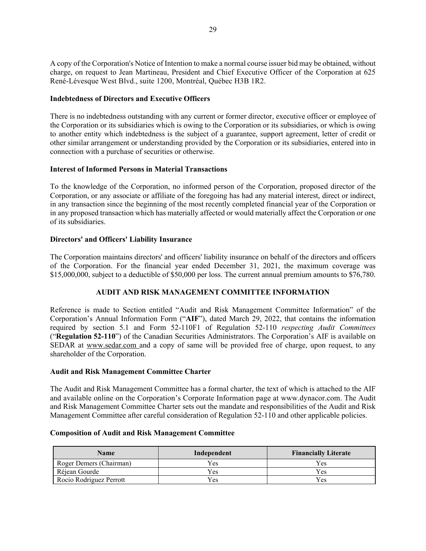A copy of the Corporation's Notice of Intention to make a normal course issuer bid may be obtained, without charge, on request to Jean Martineau, President and Chief Executive Officer of the Corporation at 625 René-Lévesque West Blvd., suite 1200, Montréal, Québec H3B 1R2.

## **Indebtedness of Directors and Executive Officers**

There is no indebtedness outstanding with any current or former director, executive officer or employee of the Corporation or its subsidiaries which is owing to the Corporation or its subsidiaries, or which is owing to another entity which indebtedness is the subject of a guarantee, support agreement, letter of credit or other similar arrangement or understanding provided by the Corporation or its subsidiaries, entered into in connection with a purchase of securities or otherwise.

# **Interest of Informed Persons in Material Transactions**

To the knowledge of the Corporation, no informed person of the Corporation, proposed director of the Corporation, or any associate or affiliate of the foregoing has had any material interest, direct or indirect, in any transaction since the beginning of the most recently completed financial year of the Corporation or in any proposed transaction which has materially affected or would materially affect the Corporation or one of its subsidiaries.

# **Directors' and Officers' Liability Insurance**

The Corporation maintains directors' and officers' liability insurance on behalf of the directors and officers of the Corporation. For the financial year ended December 31, 2021, the maximum coverage was \$15,000,000, subject to a deductible of \$50,000 per loss. The current annual premium amounts to \$76,780.

# **AUDIT AND RISK MANAGEMENT COMMITTEE INFORMATION**

Reference is made to Section entitled "Audit and Risk Management Committee Information" of the Corporation's Annual Information Form ("**AIF**"), dated March 29, 2022, that contains the information required by section 5.1 and Form 52-110F1 of Regulation 52-110 *respecting Audit Committees* ("**Regulation 52-110**") of the Canadian Securities Administrators. The Corporation's AIF is available on SEDAR at [www.sedar.com](http://www.sedar.com/) and a copy of same will be provided free of charge, upon request, to any shareholder of the Corporation.

### **Audit and Risk Management Committee Charter**

The Audit and Risk Management Committee has a formal charter, the text of which is attached to the AIF and available online on the Corporation's Corporate Information page at www.dynacor.com. The Audit and Risk Management Committee Charter sets out the mandate and responsibilities of the Audit and Risk Management Committee after careful consideration of Regulation 52-110 and other applicable policies.

# **Composition of Audit and Risk Management Committee**

| <b>Name</b>             | Independent | <b>Financially Literate</b> |
|-------------------------|-------------|-----------------------------|
| Roger Demers (Chairman) | $V_{ES}$    | Y es                        |
| Réiean Gourde           | <b>Yes</b>  | Yes                         |
| Rocio Rodriguez Perrott | Yes.        | Yes.                        |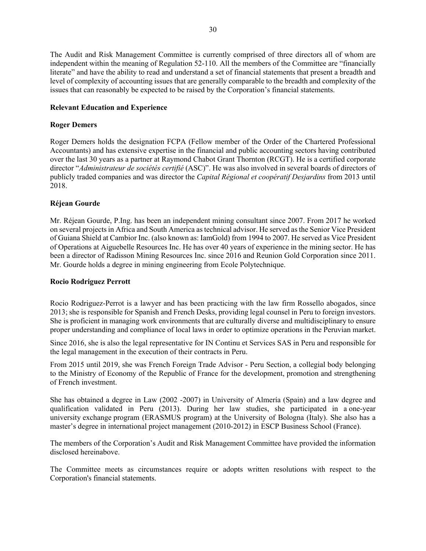The Audit and Risk Management Committee is currently comprised of three directors all of whom are independent within the meaning of Regulation 52-110. All the members of the Committee are "financially literate" and have the ability to read and understand a set of financial statements that present a breadth and level of complexity of accounting issues that are generally comparable to the breadth and complexity of the issues that can reasonably be expected to be raised by the Corporation's financial statements.

## **Relevant Education and Experience**

### **Roger Demers**

Roger Demers holds the designation FCPA (Fellow member of the Order of the Chartered Professional Accountants) and has extensive expertise in the financial and public accounting sectors having contributed over the last 30 years as a partner at Raymond Chabot Grant Thornton (RCGT). He is a certified corporate director "*Administrateur de sociétés certifié* (ASC)". He was also involved in several boards of directors of publicly traded companies and was director the *Capital Régional et coopératif Desjardins* from 2013 until 2018.

# **Réjean Gourde**

Mr. Réjean Gourde, P.Ing. has been an independent mining consultant since 2007. From 2017 he worked on several projects in Africa and South America as technical advisor. He served as the Senior Vice President of Guiana Shield at Cambior Inc. (also known as: IamGold) from 1994 to 2007. He served as Vice President of Operations at Aiguebelle Resources Inc. He has over 40 years of experience in the mining sector. He has been a director of Radisson Mining Resources Inc. since 2016 and Reunion Gold Corporation since 2011. Mr. Gourde holds a degree in mining engineering from Ecole Polytechnique.

### **Rocio Rodriguez Perrott**

Rocio Rodriguez-Perrot is a lawyer and has been practicing with the law firm Rossello abogados, since 2013; she is responsible for Spanish and French Desks, providing legal counsel in Peru to foreign investors. She is proficient in managing work environments that are culturally diverse and multidisciplinary to ensure proper understanding and compliance of local laws in order to optimize operations in the Peruvian market.

Since 2016, she is also the legal representative for IN Continu et Services SAS in Peru and responsible for the legal management in the execution of their contracts in Peru.

From 2015 until 2019, she was French Foreign Trade Advisor - Peru Section, a collegial body belonging to the Ministry of Economy of the Republic of France for the development, promotion and strengthening of French investment.

She has obtained a degree in Law (2002 -2007) in University of Almería (Spain) and a law degree and qualification validated in Peru (2013). During her law studies, she participated in a one-year university exchange program (ERASMUS program) at the University of Bologna (Italy). She also has a master's degree in international project management (2010-2012) in ESCP Business School (France).

The members of the Corporation's Audit and Risk Management Committee have provided the information disclosed hereinabove.

The Committee meets as circumstances require or adopts written resolutions with respect to the Corporation's financial statements.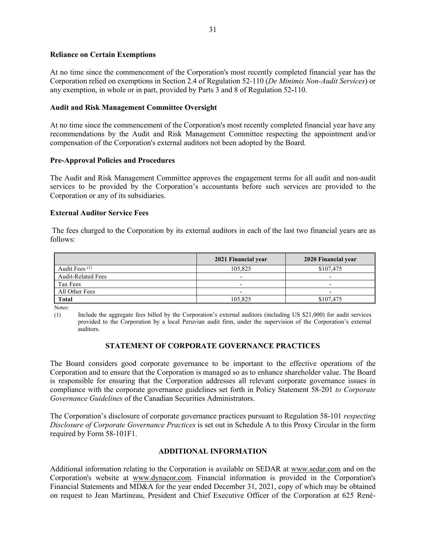### **Reliance on Certain Exemptions**

At no time since the commencement of the Corporation's most recently completed financial year has the Corporation relied on exemptions in Section 2.4 of Regulation 52-110 (*De Minimis Non-Audit Services*) or any exemption, in whole or in part, provided by Parts 3 and 8 of Regulation 52**-**110.

## **Audit and Risk Management Committee Oversight**

At no time since the commencement of the Corporation's most recently completed financial year have any recommendations by the Audit and Risk Management Committee respecting the appointment and/or compensation of the Corporation's external auditors not been adopted by the Board.

### **Pre-Approval Policies and Procedures**

The Audit and Risk Management Committee approves the engagement terms for all audit and non-audit services to be provided by the Corporation's accountants before such services are provided to the Corporation or any of its subsidiaries.

# **External Auditor Service Fees**

The fees charged to the Corporation by its external auditors in each of the last two financial years are as follows:

|                           | 2021 Financial year      | 2020 Financial year |
|---------------------------|--------------------------|---------------------|
| Audit Fees <sup>(1)</sup> | 105,825                  | \$107,475           |
| <b>Audit-Related Fees</b> | $\overline{\phantom{0}}$ | -                   |
| Tax Fees                  | -                        |                     |
| All Other Fees            |                          |                     |
| <b>Total</b>              | 105,825                  | \$107,475           |

Notes:

(1) Include the aggregate fees billed by the Corporation's external auditors (including US \$21,000) for audit services provided to the Corporation by a local Peruvian audit firm, under the supervision of the Corporation's external auditors.

# **STATEMENT OF CORPORATE GOVERNANCE PRACTICES**

The Board considers good corporate governance to be important to the effective operations of the Corporation and to ensure that the Corporation is managed so as to enhance shareholder value. The Board is responsible for ensuring that the Corporation addresses all relevant corporate governance issues in compliance with the corporate governance guidelines set forth in Policy Statement 58-201 *to Corporate Governance Guidelines* of the Canadian Securities Administrators.

The Corporation's disclosure of corporate governance practices pursuant to Regulation 58-101 *respecting Disclosure of Corporate Governance Practices* is set out in Schedule A to this Proxy Circular in the form required by Form 58-101F1.

# **ADDITIONAL INFORMATION**

Additional information relating to the Corporation is available on SEDAR at [www.sedar.com](http://www.sedar.com/) and on the Corporation's website at [www.dynacor.co](http://www.malaga.ca/)m. Financial information is provided in the Corporation's Financial Statements and MD&A for the year ended December 31, 2021, copy of which may be obtained on request to Jean Martineau, President and Chief Executive Officer of the Corporation at 625 René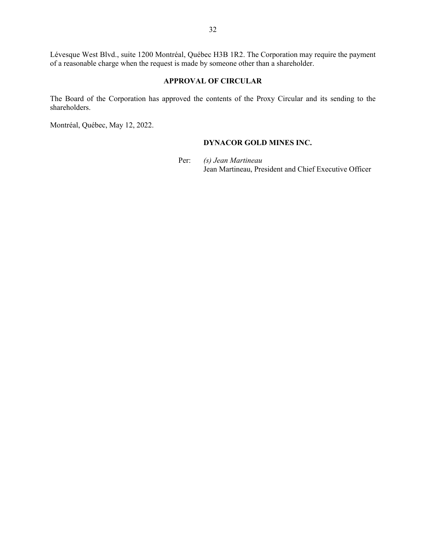Lévesque West Blvd., suite 1200 Montréal, Québec H3B 1R2. The Corporation may require the payment of a reasonable charge when the request is made by someone other than a shareholder.

# **APPROVAL OF CIRCULAR**

The Board of the Corporation has approved the contents of the Proxy Circular and its sending to the shareholders.

Montréal, Québec, May 12, 2022.

# **DYNACOR GOLD MINES INC.**

Per: *(s) Jean Martineau* Jean Martineau, President and Chief Executive Officer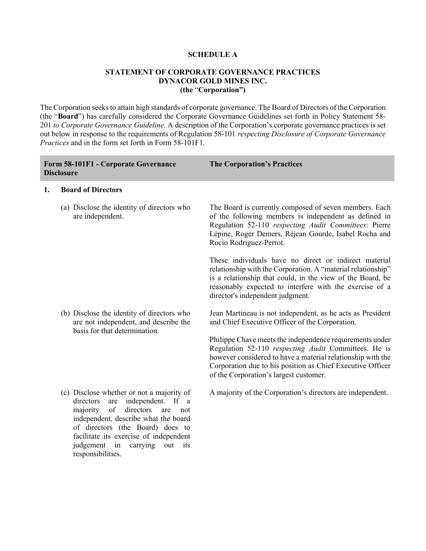### **SCHEDULE A**

## **STATEMENT OF CORPORATE GOVERNANCE PRACTICES DYNACOR GOLD MINES INC. (the** "**Corporation")**

The Corporation seeks to attain high standards of corporate governance. The Board of Directors of the Corporation (the "**Board**") has carefully considered the Corporate Governance Guidelines set forth in Policy Statement 58- 201 *to Corporate Governance Guideline*. A description of the Corporation's corporate governance practices is set out below in response to the requirements of Regulation 58-101 *respecting Disclosure of Corporate Governance Practices* and in the form set forth in Form 58-101F1.

|    | Form 58-101F1 - Corporate Governance<br><b>Disclosure</b>                                                                                                                                                                                                                                                               | <b>The Corporation's Practices</b>                                                                                                                                                                                                                                                      |
|----|-------------------------------------------------------------------------------------------------------------------------------------------------------------------------------------------------------------------------------------------------------------------------------------------------------------------------|-----------------------------------------------------------------------------------------------------------------------------------------------------------------------------------------------------------------------------------------------------------------------------------------|
| 1. | <b>Board of Directors</b>                                                                                                                                                                                                                                                                                               |                                                                                                                                                                                                                                                                                         |
|    | (a) Disclose the identity of directors who<br>are independent.                                                                                                                                                                                                                                                          | The Board is currently composed of seven members. Each<br>of the following members is independent as defined in<br>Regulation 52-110 respecting Audit Committees: Pierre<br>Lépine, Roger Demers, Réjean Gourde, Isabel Rocha and<br>Rocio Rodriguez-Perrot.                            |
|    |                                                                                                                                                                                                                                                                                                                         | These individuals have no direct or indirect material<br>relationship with the Corporation. A "material relationship"<br>is a relationship that could, in the view of the Board, be<br>reasonably expected to interfere with the exercise of a<br>director's independent judgment.      |
|    | (b) Disclose the identity of directors who<br>are not independent, and describe the<br>basis for that determination.                                                                                                                                                                                                    | Jean Martineau is not independent, as he acts as President<br>and Chief Executive Officer of the Corporation.                                                                                                                                                                           |
|    |                                                                                                                                                                                                                                                                                                                         | Philippe Chave meets the independence requirements under<br>Regulation 52-110 respecting Audit Committees. He is<br>however considered to have a material relationship with the<br>Corporation due to his position as Chief Executive Officer<br>of the Corporation's largest customer. |
|    | (c) Disclose whether or not a majority of<br>directors<br>independent. If a<br>are<br>of<br>directors<br>majority<br>are<br>not<br>independent, describe what the board<br>of directors (the Board) does to<br>facilitate its exercise of independent<br>judgement<br>in<br>carrying<br>out<br>its<br>responsibilities. | A majority of the Corporation's directors are independent.                                                                                                                                                                                                                              |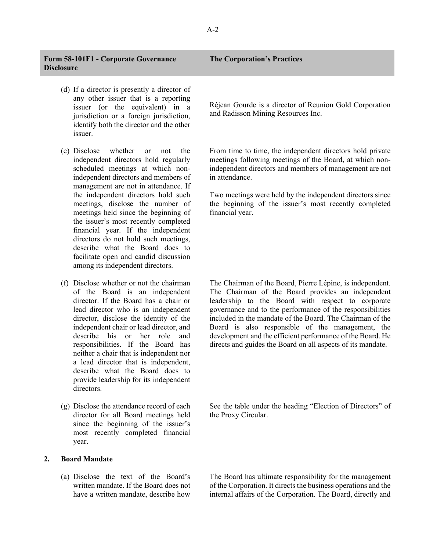### **Form 58-101F1 - Corporate Governance Disclosure**

- (d) If a director is presently a director of any other issuer that is a reporting issuer (or the equivalent) in a jurisdiction or a foreign jurisdiction, identify both the director and the other issuer.
- (e) Disclose whether or not the independent directors hold regularly scheduled meetings at which nonindependent directors and members of management are not in attendance. If the independent directors hold such meetings, disclose the number of meetings held since the beginning of the issuer's most recently completed financial year. If the independent directors do not hold such meetings, describe what the Board does to facilitate open and candid discussion among its independent directors.
- (f) Disclose whether or not the chairman of the Board is an independent director. If the Board has a chair or lead director who is an independent director, disclose the identity of the independent chair or lead director, and describe his or her role and responsibilities. If the Board has neither a chair that is independent nor a lead director that is independent, describe what the Board does to provide leadership for its independent directors.
- (g) Disclose the attendance record of each director for all Board meetings held since the beginning of the issuer's most recently completed financial year.

# **2. Board Mandate**

(a) Disclose the text of the Board's written mandate. If the Board does not have a written mandate, describe how

### **The Corporation's Practices**

Réjean Gourde is a director of Reunion Gold Corporation and Radisson Mining Resources Inc.

From time to time, the independent directors hold private meetings following meetings of the Board, at which nonindependent directors and members of management are not in attendance.

Two meetings were held by the independent directors since the beginning of the issuer's most recently completed financial year.

The Chairman of the Board, Pierre Lépine, is independent. The Chairman of the Board provides an independent leadership to the Board with respect to corporate governance and to the performance of the responsibilities included in the mandate of the Board. The Chairman of the Board is also responsible of the management, the development and the efficient performance of the Board. He directs and guides the Board on all aspects of its mandate.

See the table under the heading "Election of Directors" of the Proxy Circular.

The Board has ultimate responsibility for the management of the Corporation. It directs the business operations and the internal affairs of the Corporation. The Board, directly and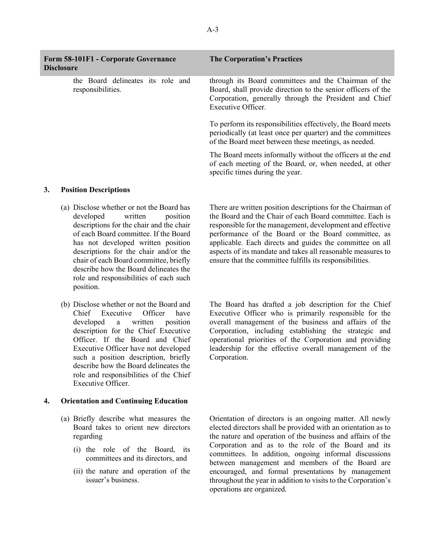| <b>Form 58-101F1 - Corporate Governance</b><br><b>Disclosure</b> | <b>The Corporation's Practices</b>                                                                                                                                                                   |
|------------------------------------------------------------------|------------------------------------------------------------------------------------------------------------------------------------------------------------------------------------------------------|
| the Board delineates its role and<br>responsibilities.           | through its Board committees and the Chairman of the<br>Board, shall provide direction to the senior officers of the<br>Corporation, generally through the President and Chief<br>Executive Officer. |
|                                                                  | To perform its responsibilities effectively, the Board meets<br>periodically (at least once per quarter) and the committees<br>of the Board meet between these meetings, as needed.                  |
|                                                                  | The Board meets informally without the officers at the end<br>of each meeting of the Board, or, when needed, at other<br>specific times during the year.                                             |

### **3. Position Descriptions**

- (a) Disclose whether or not the Board has developed written position descriptions for the chair and the chair of each Board committee. If the Board has not developed written position descriptions for the chair and/or the chair of each Board committee, briefly describe how the Board delineates the role and responsibilities of each such position.
- (b) Disclose whether or not the Board and Chief Executive Officer have developed a written position description for the Chief Executive Officer. If the Board and Chief Executive Officer have not developed such a position description, briefly describe how the Board delineates the role and responsibilities of the Chief Executive Officer.

# **4. Orientation and Continuing Education**

- (a) Briefly describe what measures the Board takes to orient new directors regarding
	- (i) the role of the Board, its committees and its directors, and
	- (ii) the nature and operation of the issuer's business.

There are written position descriptions for the Chairman of the Board and the Chair of each Board committee. Each is responsible for the management, development and effective performance of the Board or the Board committee, as applicable. Each directs and guides the committee on all aspects of its mandate and takes all reasonable measures to ensure that the committee fulfills its responsibilities.

The Board has drafted a job description for the Chief Executive Officer who is primarily responsible for the overall management of the business and affairs of the Corporation, including establishing the strategic and operational priorities of the Corporation and providing leadership for the effective overall management of the Corporation.

Orientation of directors is an ongoing matter. All newly elected directors shall be provided with an orientation as to the nature and operation of the business and affairs of the Corporation and as to the role of the Board and its committees. In addition, ongoing informal discussions between management and members of the Board are encouraged, and formal presentations by management throughout the year in addition to visits to the Corporation's operations are organized.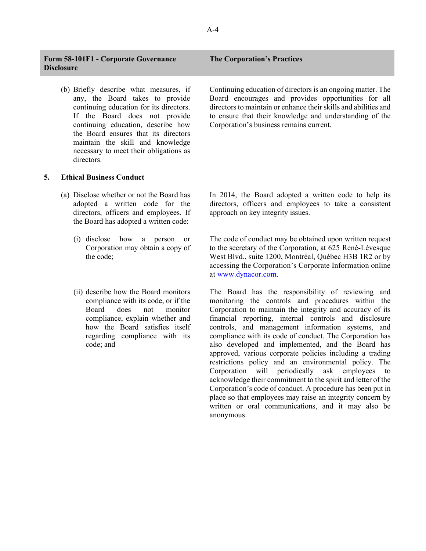## **Form 58-101F1 - Corporate Governance Disclosure**

(b) Briefly describe what measures, if any, the Board takes to provide continuing education for its directors. If the Board does not provide continuing education, describe how the Board ensures that its directors maintain the skill and knowledge necessary to meet their obligations as directors.

### **5. Ethical Business Conduct**

- (a) Disclose whether or not the Board has adopted a written code for the directors, officers and employees. If the Board has adopted a written code:
	- (i) disclose how a person or Corporation may obtain a copy of the code;
	- (ii) describe how the Board monitors compliance with its code, or if the Board does not monitor compliance, explain whether and how the Board satisfies itself regarding compliance with its code; and

Continuing education of directors is an ongoing matter. The Board encourages and provides opportunities for all directors to maintain or enhance their skills and abilities and to ensure that their knowledge and understanding of the Corporation's business remains current.

In 2014, the Board adopted a written code to help its directors, officers and employees to take a consistent approach on key integrity issues.

The code of conduct may be obtained upon written request to the secretary of the Corporation, at 625 René-Lévesque West Blvd., suite 1200, Montréal, Québec H3B 1R2 or by accessing the Corporation's Corporate Information online at [www.dynacor.com.](http://www.dynacor.com/)

The Board has the responsibility of reviewing and monitoring the controls and procedures within the Corporation to maintain the integrity and accuracy of its financial reporting, internal controls and disclosure controls, and management information systems, and compliance with its code of conduct. The Corporation has also developed and implemented, and the Board has approved, various corporate policies including a trading restrictions policy and an environmental policy. The Corporation will periodically ask employees to acknowledge their commitment to the spirit and letter of the Corporation's code of conduct. A procedure has been put in place so that employees may raise an integrity concern by written or oral communications, and it may also be anonymous.

### **The Corporation's Practices**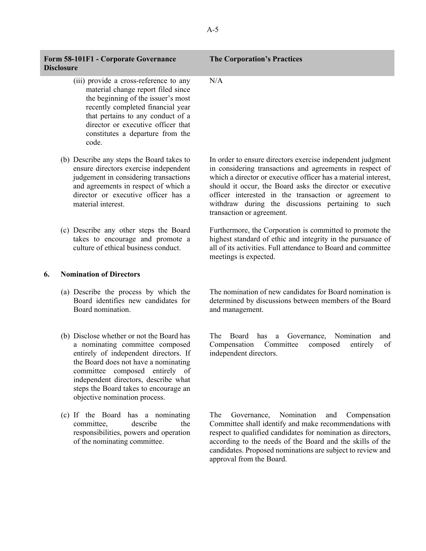| Form 58-101F1 - Corporate Governance |  |
|--------------------------------------|--|
| <b>Disclosure</b>                    |  |

- (iii) provide a cross-reference to any material change report filed since the beginning of the issuer's most recently completed financial year that pertains to any conduct of a director or executive officer that constitutes a departure from the code.
- (b) Describe any steps the Board takes to ensure directors exercise independent judgement in considering transactions and agreements in respect of which a director or executive officer has a material interest.
- (c) Describe any other steps the Board takes to encourage and promote a culture of ethical business conduct.

#### **6. Nomination of Directors**

- (a) Describe the process by which the Board identifies new candidates for Board nomination.
- (b) Disclose whether or not the Board has a nominating committee composed entirely of independent directors. If the Board does not have a nominating committee composed entirely of independent directors, describe what steps the Board takes to encourage an objective nomination process.
- (c) If the Board has a nominating committee, describe the responsibilities, powers and operation of the nominating committee.

# **The Corporation's Practices**

N/A

In order to ensure directors exercise independent judgment in considering transactions and agreements in respect of which a director or executive officer has a material interest, should it occur, the Board asks the director or executive officer interested in the transaction or agreement to withdraw during the discussions pertaining to such transaction or agreement.

Furthermore, the Corporation is committed to promote the highest standard of ethic and integrity in the pursuance of all of its activities. Full attendance to Board and committee meetings is expected.

The nomination of new candidates for Board nomination is determined by discussions between members of the Board and management.

The Board has a Governance, Nomination and Compensation Committee composed entirely of independent directors.

The Governance, Nomination and Compensation Committee shall identify and make recommendations with respect to qualified candidates for nomination as directors, according to the needs of the Board and the skills of the candidates. Proposed nominations are subject to review and approval from the Board.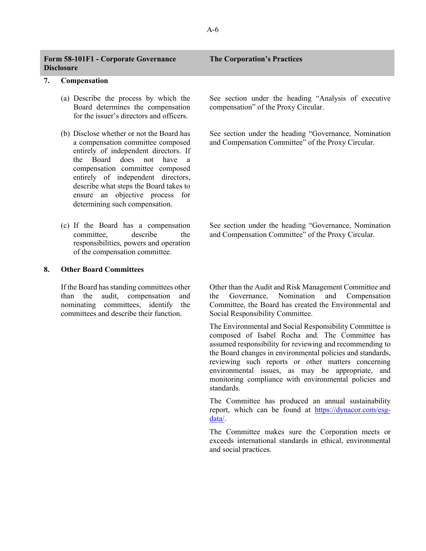| Form 58-101F1 - Corporate Governance<br><b>Disclosure</b> | <b>The Corporation's Practices</b> |
|-----------------------------------------------------------|------------------------------------|
| $\Gamma$ omnongotion                                      |                                    |

#### **7. Compensation**

- (a) Describe the process by which the Board determines the compensation for the issuer's directors and officers.
- (b) Disclose whether or not the Board has a compensation committee composed entirely of independent directors. If the Board does not have a compensation committee composed entirely of independent directors, describe what steps the Board takes to ensure an objective process for determining such compensation.
- (c) If the Board has a compensation committee, describe the responsibilities, powers and operation of the compensation committee.

### **8. Other Board Committees**

If the Board has standing committees other than the audit, compensation and nominating committees, identify the committees and describe their function.

See section under the heading "Analysis of executive compensation" of the Proxy Circular.

See section under the heading "Governance, Nomination and Compensation Committee" of the Proxy Circular.

See section under the heading "Governance, Nomination and Compensation Committee" of the Proxy Circular.

Other than the Audit and Risk Management Committee and the Governance, Nomination and Compensation Committee, the Board has created the Environmental and Social Responsibility Committee.

The Environmental and Social Responsibility Committee is composed of Isabel Rocha and. The Committee has assumed responsibility for reviewing and recommending to the Board changes in environmental policies and standards, reviewing such reports or other matters concerning environmental issues, as may be appropriate, and monitoring compliance with environmental policies and standards.

The Committee has produced an annual sustainability [report, which can be found at https://dynacor.com/esg](https://dynacor.com/esg-data/)data/.

The Committee makes sure the Corporation meets or exceeds international standards in ethical, environmental and social practices.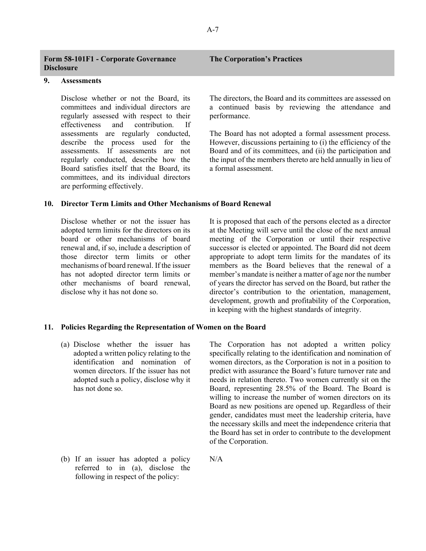| <b>Form 58-101F1 - Corporate Governance</b> |  |
|---------------------------------------------|--|
| <b>Disclosure</b>                           |  |

# **9. Assessments**

Disclose whether or not the Board, its committees and individual directors are regularly assessed with respect to their effectiveness and contribution. If assessments are regularly conducted, describe the process used for the assessments. If assessments are not regularly conducted, describe how the Board satisfies itself that the Board, its committees, and its individual directors are performing effectively.

# **10. Director Term Limits and Other Mechanisms of Board Renewal**

Disclose whether or not the issuer has adopted term limits for the directors on its board or other mechanisms of board renewal and, if so, include a description of those director term limits or other mechanisms of board renewal. If the issuer has not adopted director term limits or other mechanisms of board renewal, disclose why it has not done so.

The directors, the Board and its committees are assessed on a continued basis by reviewing the attendance and performance.

The Board has not adopted a formal assessment process. However, discussions pertaining to (i) the efficiency of the Board and of its committees, and (ii) the participation and the input of the members thereto are held annually in lieu of a formal assessment.

It is proposed that each of the persons elected as a director at the Meeting will serve until the close of the next annual meeting of the Corporation or until their respective successor is elected or appointed. The Board did not deem appropriate to adopt term limits for the mandates of its members as the Board believes that the renewal of a member's mandate is neither a matter of age nor the number of years the director has served on the Board, but rather the director's contribution to the orientation, management, development, growth and profitability of the Corporation, in keeping with the highest standards of integrity.

#### **11. Policies Regarding the Representation of Women on the Board**

N/A

(a) Disclose whether the issuer has adopted a written policy relating to the identification and nomination of women directors. If the issuer has not adopted such a policy, disclose why it has not done so.

The Corporation has not adopted a written policy specifically relating to the identification and nomination of women directors, as the Corporation is not in a position to predict with assurance the Board's future turnover rate and needs in relation thereto. Two women currently sit on the Board, representing 28.5% of the Board. The Board is willing to increase the number of women directors on its Board as new positions are opened up. Regardless of their gender, candidates must meet the leadership criteria, have the necessary skills and meet the independence criteria that the Board has set in order to contribute to the development of the Corporation.

(b) If an issuer has adopted a policy referred to in (a), disclose the following in respect of the policy: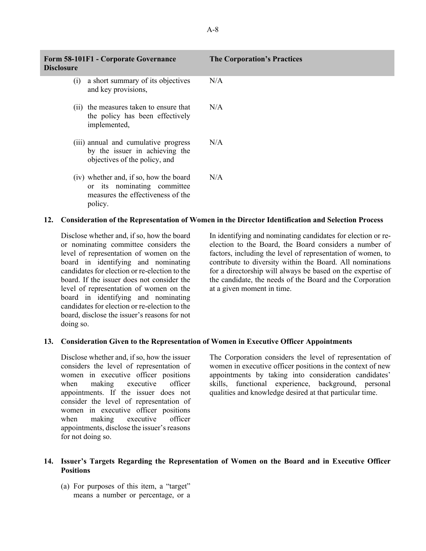| Form 58-101F1 - Corporate Governance<br><b>Disclosure</b>                                                             | <b>The Corporation's Practices</b> |  |
|-----------------------------------------------------------------------------------------------------------------------|------------------------------------|--|
| a short summary of its objectives<br>(1)<br>and key provisions,                                                       | N/A                                |  |
| (ii) the measures taken to ensure that<br>the policy has been effectively<br>implemented,                             | N/A                                |  |
| (iii) annual and cumulative progress<br>by the issuer in achieving the<br>objectives of the policy, and               | N/A                                |  |
| (iv) whether and, if so, how the board<br>or its nominating committee<br>measures the effectiveness of the<br>policy. | N/A                                |  |
| $\sim$ $\sim$ $\sim$ $\sim$ $\sim$<br>$P$ v v $\tau$                                                                  |                                    |  |

### **12. Consideration of the Representation of Women in the Director Identification and Selection Process**

Disclose whether and, if so, how the board or nominating committee considers the level of representation of women on the board in identifying and nominating candidates for election or re-election to the board. If the issuer does not consider the level of representation of women on the board in identifying and nominating candidates for election or re-election to the board, disclose the issuer's reasons for not doing so.

In identifying and nominating candidates for election or reelection to the Board, the Board considers a number of factors, including the level of representation of women, to contribute to diversity within the Board. All nominations for a directorship will always be based on the expertise of the candidate, the needs of the Board and the Corporation at a given moment in time.

### **13. Consideration Given to the Representation of Women in Executive Officer Appointments**

Disclose whether and, if so, how the issuer considers the level of representation of women in executive officer positions when making executive officer appointments. If the issuer does not consider the level of representation of women in executive officer positions when making executive officer appointments, disclose the issuer's reasons for not doing so.

The Corporation considers the level of representation of women in executive officer positions in the context of new appointments by taking into consideration candidates' skills, functional experience, background, personal qualities and knowledge desired at that particular time.

# **14. Issuer's Targets Regarding the Representation of Women on the Board and in Executive Officer Positions**

(a) For purposes of this item, a "target" means a number or percentage, or a